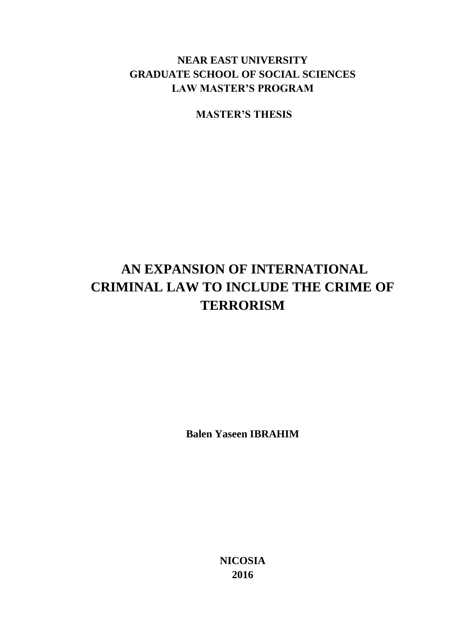# **NEAR EAST UNIVERSITY GRADUATE SCHOOL OF SOCIAL SCIENCES LAW MASTER'S PROGRAM**

**MASTER'S THESIS**

# **AN EXPANSION OF INTERNATIONAL CRIMINAL LAW TO INCLUDE THE CRIME OF TERRORISM**

**Balen Yaseen IBRAHIM**

**NICOSIA 2016**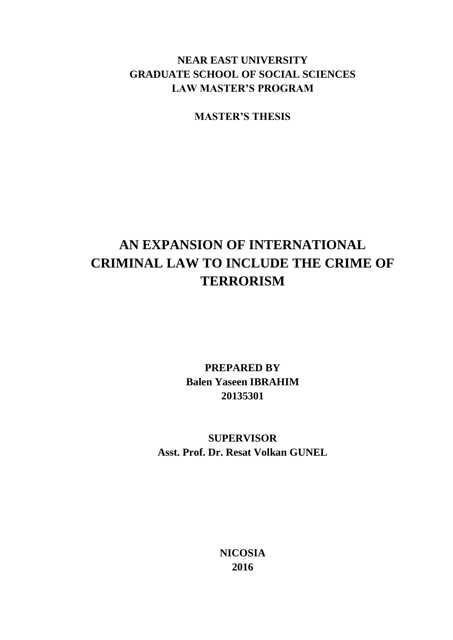# **NEAR EAST UNIVERSITY GRADUATE SCHOOL OF SOCIAL SCIENCES LAW MASTER'S PROGRAM**

**MASTER'S THESIS**

# **AN EXPANSION OF INTERNATIONAL CRIMINAL LAW TO INCLUDE THE CRIME OF TERRORISM**

**PREPARED BY Balen Yaseen IBRAHIM 20135301**

**SUPERVISOR Asst. Prof. Dr. Resat Volkan GUNEL**

> **NICOSIA 2016**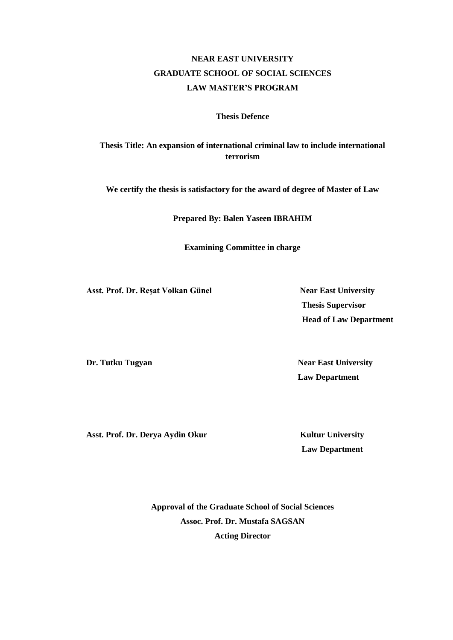# **NEAR EAST UNIVERSITY GRADUATE SCHOOL OF SOCIAL SCIENCES LAW MASTER'S PROGRAM**

### **Thesis Defence**

## **Thesis Title: An expansion of international criminal law to include international terrorism**

**We certify the thesis is satisfactory for the award of degree of Master of Law**

**Prepared By: Balen Yaseen IBRAHIM**

**Examining Committee in charge** 

Asst. Prof. Dr. Reșat Volkan Günel **Near East University** 

 **Thesis Supervisor Head of Law Department**

**Dr. Tutku Tugyan Near East University** 

 **Law Department** 

Asst. Prof. Dr. Derya Aydin Okur Kultur University

**Law Department**

**Approval of the Graduate School of Social Sciences Assoc. Prof. Dr. Mustafa SAGSAN Acting Director**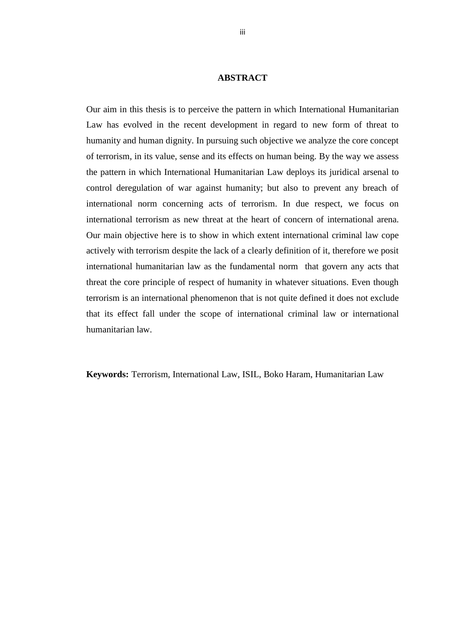#### **ABSTRACT**

<span id="page-3-0"></span>Our aim in this thesis is to perceive the pattern in which International Humanitarian Law has evolved in the recent development in regard to new form of threat to humanity and human dignity. In pursuing such objective we analyze the core concept of terrorism, in its value, sense and its effects on human being. By the way we assess the pattern in which International Humanitarian Law deploys its juridical arsenal to control deregulation of war against humanity; but also to prevent any breach of international norm concerning acts of terrorism. In due respect, we focus on international terrorism as new threat at the heart of concern of international arena. Our main objective here is to show in which extent international criminal law cope actively with terrorism despite the lack of a clearly definition of it, therefore we posit international humanitarian law as the fundamental norm that govern any acts that threat the core principle of respect of humanity in whatever situations. Even though terrorism is an international phenomenon that is not quite defined it does not exclude that its effect fall under the scope of international criminal law or international humanitarian law.

**Keywords:** Terrorism, International Law, ISIL, Boko Haram, Humanitarian Law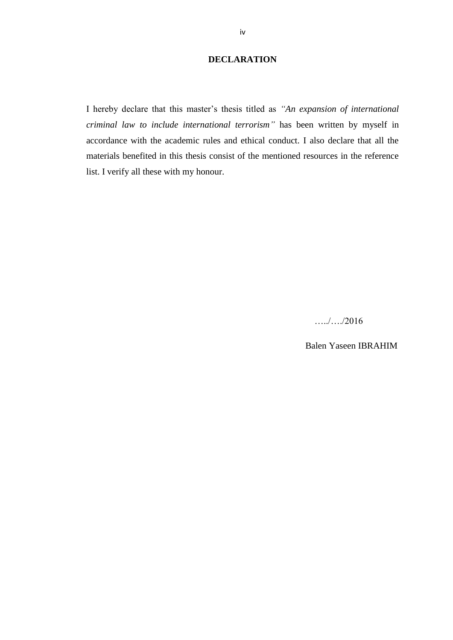## **DECLARATION**

<span id="page-4-0"></span>I hereby declare that this master's thesis titled as *"An expansion of international criminal law to include international terrorism"* has been written by myself in accordance with the academic rules and ethical conduct. I also declare that all the materials benefited in this thesis consist of the mentioned resources in the reference list. I verify all these with my honour.

…../…./2016

Balen Yaseen IBRAHIM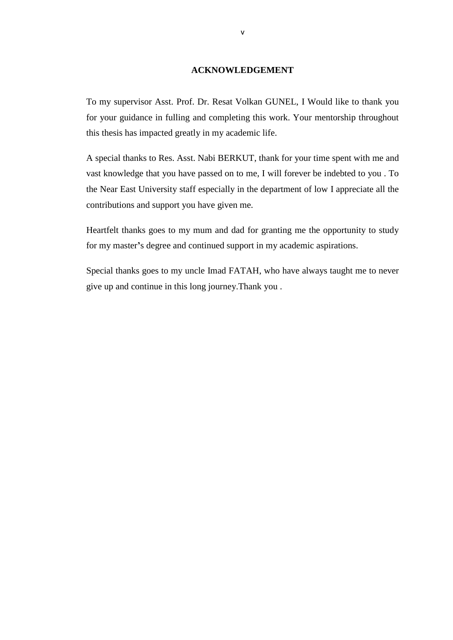### **ACKNOWLEDGEMENT**

<span id="page-5-0"></span>To my supervisor Asst. Prof. Dr. Resat Volkan GUNEL, I Would like to thank you for your guidance in fulling and completing this work. Your mentorship throughout this thesis has impacted greatly in my academic life.

A special thanks to Res. Asst. Nabi BERKUT, thank for your time spent with me and vast knowledge that you have passed on to me, I will forever be indebted to you . To the Near East University staff especially in the department of low I appreciate all the contributions and support you have given me.

Heartfelt thanks goes to my mum and dad for granting me the opportunity to study for my master**'**s degree and continued support in my academic aspirations.

Special thanks goes to my uncle Imad FATAH, who have always taught me to never give up and continue in this long journey.Thank you .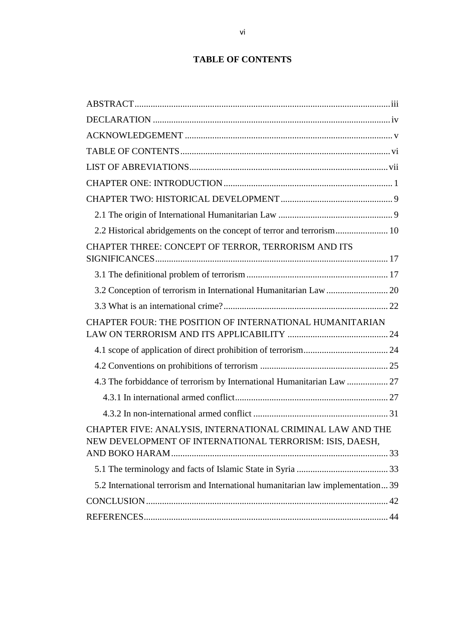# **TABLE OF CONTENTS**

<span id="page-6-0"></span>

| 2.2 Historical abridgements on the concept of terror and terrorism 10                                                  |  |
|------------------------------------------------------------------------------------------------------------------------|--|
| CHAPTER THREE: CONCEPT OF TERROR, TERRORISM AND ITS                                                                    |  |
|                                                                                                                        |  |
| 3.2 Conception of terrorism in International Humanitarian Law  20                                                      |  |
|                                                                                                                        |  |
| CHAPTER FOUR: THE POSITION OF INTERNATIONAL HUMANITARIAN                                                               |  |
|                                                                                                                        |  |
|                                                                                                                        |  |
| 4.3 The forbiddance of terrorism by International Humanitarian Law  27                                                 |  |
|                                                                                                                        |  |
|                                                                                                                        |  |
| CHAPTER FIVE: ANALYSIS, INTERNATIONAL CRIMINAL LAW AND THE<br>NEW DEVELOPMENT OF INTERNATIONAL TERRORISM: ISIS, DAESH, |  |
|                                                                                                                        |  |
|                                                                                                                        |  |
| 5.2 International terrorism and International humanitarian law implementation 39                                       |  |
|                                                                                                                        |  |
|                                                                                                                        |  |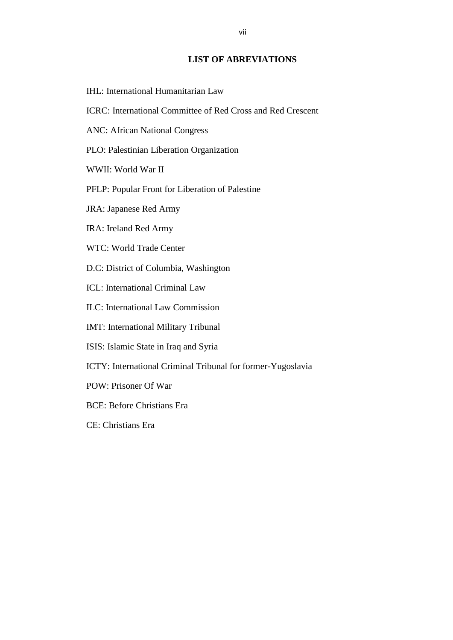## **LIST OF ABREVIATIONS**

- <span id="page-7-0"></span>IHL: International Humanitarian Law
- ICRC: International Committee of Red Cross and Red Crescent
- ANC: African National Congress
- PLO: Palestinian Liberation Organization
- WWII: World War II
- PFLP: Popular Front for Liberation of Palestine
- JRA: Japanese Red Army
- IRA: Ireland Red Army
- WTC: World Trade Center
- D.C: District of Columbia, Washington
- ICL: International Criminal Law
- ILC: International Law Commission
- IMT: International Military Tribunal
- ISIS: Islamic State in Iraq and Syria
- ICTY: International Criminal Tribunal for former-Yugoslavia
- POW: Prisoner Of War
- BCE: Before Christians Era
- CE: Christians Era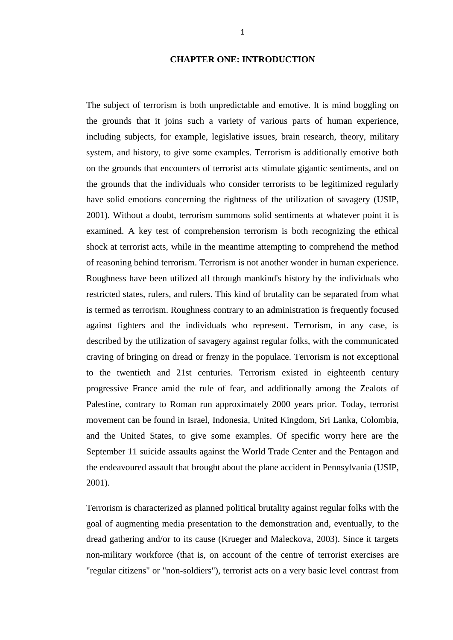## **CHAPTER ONE: INTRODUCTION**

<span id="page-8-0"></span>The subject of terrorism is both unpredictable and emotive. It is mind boggling on the grounds that it joins such a variety of various parts of human experience, including subjects, for example, legislative issues, brain research, theory, military system, and history, to give some examples. Terrorism is additionally emotive both on the grounds that encounters of terrorist acts stimulate gigantic sentiments, and on the grounds that the individuals who consider terrorists to be legitimized regularly have solid emotions concerning the rightness of the utilization of savagery (USIP, 2001). Without a doubt, terrorism summons solid sentiments at whatever point it is examined. A key test of comprehension terrorism is both recognizing the ethical shock at terrorist acts, while in the meantime attempting to comprehend the method of reasoning behind terrorism. Terrorism is not another wonder in human experience. Roughness have been utilized all through mankind's history by the individuals who restricted states, rulers, and rulers. This kind of brutality can be separated from what is termed as terrorism. Roughness contrary to an administration is frequently focused against fighters and the individuals who represent. Terrorism, in any case, is described by the utilization of savagery against regular folks, with the communicated craving of bringing on dread or frenzy in the populace. Terrorism is not exceptional to the twentieth and 21st centuries. Terrorism existed in eighteenth century progressive France amid the rule of fear, and additionally among the Zealots of Palestine, contrary to Roman run approximately 2000 years prior. Today, terrorist movement can be found in Israel, Indonesia, United Kingdom, Sri Lanka, Colombia, and the United States, to give some examples. Of specific worry here are the September 11 suicide assaults against the World Trade Center and the Pentagon and the endeavoured assault that brought about the plane accident in Pennsylvania (USIP, 2001).

Terrorism is characterized as planned political brutality against regular folks with the goal of augmenting media presentation to the demonstration and, eventually, to the dread gathering and/or to its cause (Krueger and Maleckova, 2003). Since it targets non-military workforce (that is, on account of the centre of terrorist exercises are "regular citizens" or "non-soldiers"), terrorist acts on a very basic level contrast from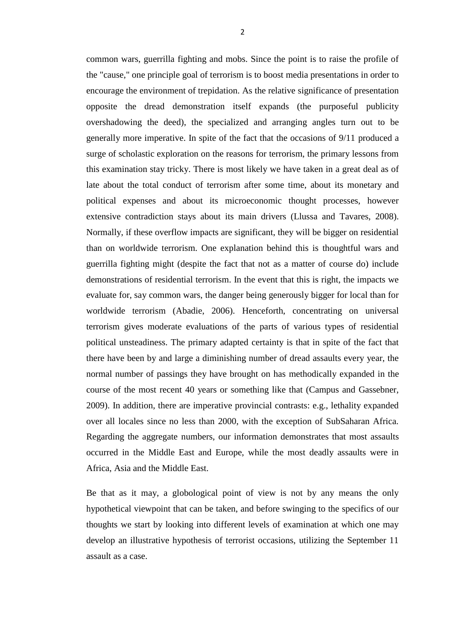common wars, guerrilla fighting and mobs. Since the point is to raise the profile of the "cause," one principle goal of terrorism is to boost media presentations in order to encourage the environment of trepidation. As the relative significance of presentation opposite the dread demonstration itself expands (the purposeful publicity overshadowing the deed), the specialized and arranging angles turn out to be generally more imperative. In spite of the fact that the occasions of 9/11 produced a surge of scholastic exploration on the reasons for terrorism, the primary lessons from this examination stay tricky. There is most likely we have taken in a great deal as of late about the total conduct of terrorism after some time, about its monetary and political expenses and about its microeconomic thought processes, however extensive contradiction stays about its main drivers (Llussa and Tavares, 2008). Normally, if these overflow impacts are significant, they will be bigger on residential than on worldwide terrorism. One explanation behind this is thoughtful wars and guerrilla fighting might (despite the fact that not as a matter of course do) include demonstrations of residential terrorism. In the event that this is right, the impacts we evaluate for, say common wars, the danger being generously bigger for local than for worldwide terrorism (Abadie, 2006). Henceforth, concentrating on universal terrorism gives moderate evaluations of the parts of various types of residential political unsteadiness. The primary adapted certainty is that in spite of the fact that there have been by and large a diminishing number of dread assaults every year, the normal number of passings they have brought on has methodically expanded in the course of the most recent 40 years or something like that (Campus and Gassebner, 2009). In addition, there are imperative provincial contrasts: e.g., lethality expanded over all locales since no less than 2000, with the exception of SubSaharan Africa. Regarding the aggregate numbers, our information demonstrates that most assaults occurred in the Middle East and Europe, while the most deadly assaults were in Africa, Asia and the Middle East.

Be that as it may, a globological point of view is not by any means the only hypothetical viewpoint that can be taken, and before swinging to the specifics of our thoughts we start by looking into different levels of examination at which one may develop an illustrative hypothesis of terrorist occasions, utilizing the September 11 assault as a case.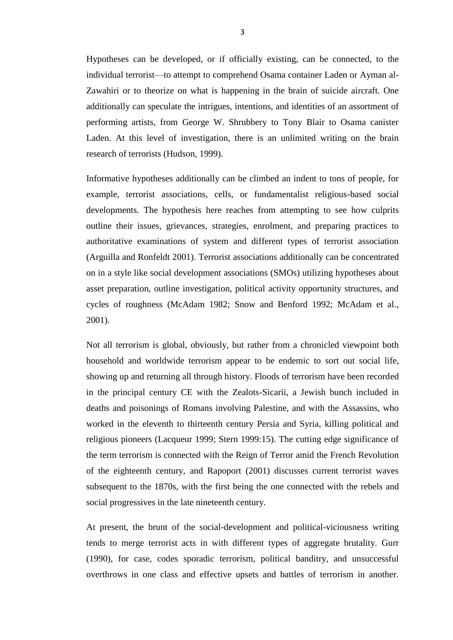Hypotheses can be developed, or if officially existing, can be connected, to the individual terrorist—to attempt to comprehend Osama container Laden or Ayman al-Zawahiri or to theorize on what is happening in the brain of suicide aircraft. One additionally can speculate the intrigues, intentions, and identities of an assortment of performing artists, from George W. Shrubbery to Tony Blair to Osama canister Laden. At this level of investigation, there is an unlimited writing on the brain research of terrorists (Hudson, 1999).

Informative hypotheses additionally can be climbed an indent to tons of people, for example, terrorist associations, cells, or fundamentalist religious-based social developments. The hypothesis here reaches from attempting to see how culprits outline their issues, grievances, strategies, enrolment, and preparing practices to authoritative examinations of system and different types of terrorist association (Arguilla and Ronfeldt 2001). Terrorist associations additionally can be concentrated on in a style like social development associations (SMOs) utilizing hypotheses about asset preparation, outline investigation, political activity opportunity structures, and cycles of roughness (McAdam 1982; Snow and Benford 1992; McAdam et al., 2001).

Not all terrorism is global, obviously, but rather from a chronicled viewpoint both household and worldwide terrorism appear to be endemic to sort out social life, showing up and returning all through history. Floods of terrorism have been recorded in the principal century CE with the Zealots-Sicarii, a Jewish bunch included in deaths and poisonings of Romans involving Palestine, and with the Assassins, who worked in the eleventh to thirteenth century Persia and Syria, killing political and religious pioneers (Lacqueur 1999; Stern 1999:15). The cutting edge significance of the term terrorism is connected with the Reign of Terror amid the French Revolution of the eighteenth century, and Rapoport (2001) discusses current terrorist waves subsequent to the 1870s, with the first being the one connected with the rebels and social progressives in the late nineteenth century.

At present, the brunt of the social-development and political-viciousness writing tends to merge terrorist acts in with different types of aggregate brutality. Gurr (1990), for case, codes sporadic terrorism, political banditry, and unsuccessful overthrows in one class and effective upsets and battles of terrorism in another.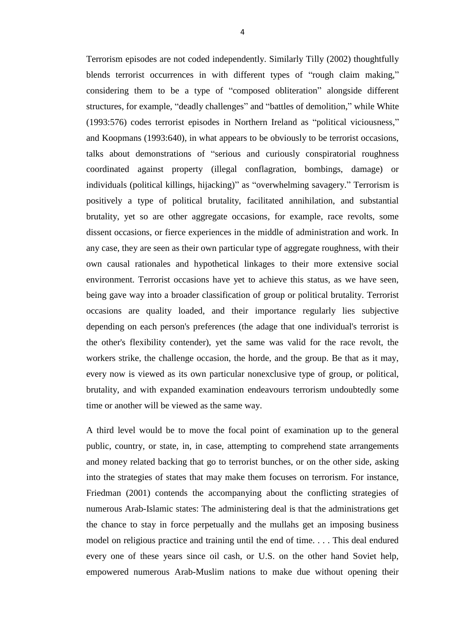Terrorism episodes are not coded independently. Similarly Tilly (2002) thoughtfully blends terrorist occurrences in with different types of "rough claim making," considering them to be a type of "composed obliteration" alongside different structures, for example, "deadly challenges" and "battles of demolition," while White (1993:576) codes terrorist episodes in Northern Ireland as "political viciousness," and Koopmans (1993:640), in what appears to be obviously to be terrorist occasions, talks about demonstrations of "serious and curiously conspiratorial roughness coordinated against property (illegal conflagration, bombings, damage) or individuals (political killings, hijacking)" as "overwhelming savagery." Terrorism is positively a type of political brutality, facilitated annihilation, and substantial brutality, yet so are other aggregate occasions, for example, race revolts, some dissent occasions, or fierce experiences in the middle of administration and work. In any case, they are seen as their own particular type of aggregate roughness, with their own causal rationales and hypothetical linkages to their more extensive social environment. Terrorist occasions have yet to achieve this status, as we have seen, being gave way into a broader classification of group or political brutality. Terrorist occasions are quality loaded, and their importance regularly lies subjective depending on each person's preferences (the adage that one individual's terrorist is the other's flexibility contender), yet the same was valid for the race revolt, the workers strike, the challenge occasion, the horde, and the group. Be that as it may, every now is viewed as its own particular nonexclusive type of group, or political, brutality, and with expanded examination endeavours terrorism undoubtedly some time or another will be viewed as the same way.

A third level would be to move the focal point of examination up to the general public, country, or state, in, in case, attempting to comprehend state arrangements and money related backing that go to terrorist bunches, or on the other side, asking into the strategies of states that may make them focuses on terrorism. For instance, Friedman (2001) contends the accompanying about the conflicting strategies of numerous Arab-Islamic states: The administering deal is that the administrations get the chance to stay in force perpetually and the mullahs get an imposing business model on religious practice and training until the end of time. . . . This deal endured every one of these years since oil cash, or U.S. on the other hand Soviet help, empowered numerous Arab-Muslim nations to make due without opening their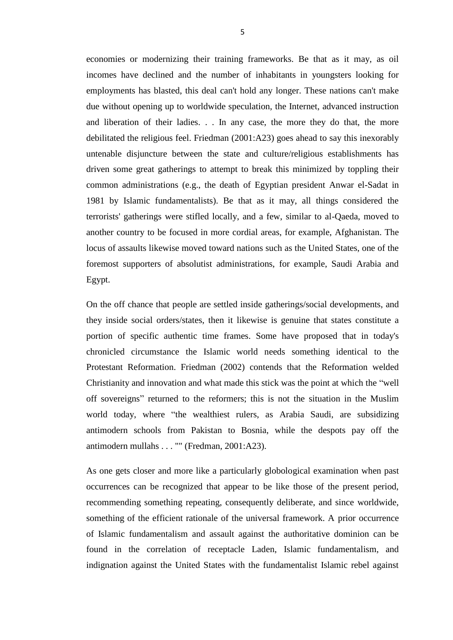economies or modernizing their training frameworks. Be that as it may, as oil incomes have declined and the number of inhabitants in youngsters looking for employments has blasted, this deal can't hold any longer. These nations can't make due without opening up to worldwide speculation, the Internet, advanced instruction and liberation of their ladies. . . In any case, the more they do that, the more debilitated the religious feel. Friedman (2001:A23) goes ahead to say this inexorably untenable disjuncture between the state and culture/religious establishments has driven some great gatherings to attempt to break this minimized by toppling their common administrations (e.g., the death of Egyptian president Anwar el-Sadat in 1981 by Islamic fundamentalists). Be that as it may, all things considered the terrorists' gatherings were stifled locally, and a few, similar to al-Qaeda, moved to another country to be focused in more cordial areas, for example, Afghanistan. The locus of assaults likewise moved toward nations such as the United States, one of the foremost supporters of absolutist administrations, for example, Saudi Arabia and Egypt.

On the off chance that people are settled inside gatherings/social developments, and they inside social orders/states, then it likewise is genuine that states constitute a portion of specific authentic time frames. Some have proposed that in today's chronicled circumstance the Islamic world needs something identical to the Protestant Reformation. Friedman (2002) contends that the Reformation welded Christianity and innovation and what made this stick was the point at which the "well" off sovereigns" returned to the reformers; this is not the situation in the Muslim world today, where "the wealthiest rulers, as Arabia Saudi, are subsidizing antimodern schools from Pakistan to Bosnia, while the despots pay off the antimodern mullahs . . . "" (Fredman, 2001:A23).

As one gets closer and more like a particularly globological examination when past occurrences can be recognized that appear to be like those of the present period, recommending something repeating, consequently deliberate, and since worldwide, something of the efficient rationale of the universal framework. A prior occurrence of Islamic fundamentalism and assault against the authoritative dominion can be found in the correlation of receptacle Laden, Islamic fundamentalism, and indignation against the United States with the fundamentalist Islamic rebel against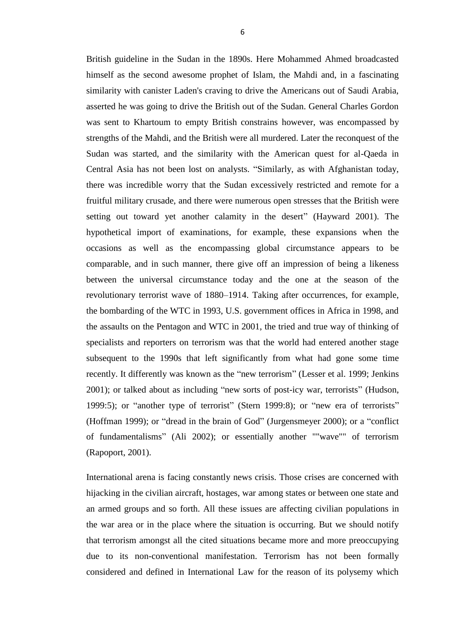British guideline in the Sudan in the 1890s. Here Mohammed Ahmed broadcasted himself as the second awesome prophet of Islam, the Mahdi and, in a fascinating similarity with canister Laden's craving to drive the Americans out of Saudi Arabia, asserted he was going to drive the British out of the Sudan. General Charles Gordon was sent to Khartoum to empty British constrains however, was encompassed by strengths of the Mahdi, and the British were all murdered. Later the reconquest of the Sudan was started, and the similarity with the American quest for al-Qaeda in Central Asia has not been lost on analysts. "Similarly, as with Afghanistan today, there was incredible worry that the Sudan excessively restricted and remote for a fruitful military crusade, and there were numerous open stresses that the British were setting out toward yet another calamity in the desert" (Hayward 2001). The hypothetical import of examinations, for example, these expansions when the occasions as well as the encompassing global circumstance appears to be comparable, and in such manner, there give off an impression of being a likeness between the universal circumstance today and the one at the season of the revolutionary terrorist wave of 1880–1914. Taking after occurrences, for example, the bombarding of the WTC in 1993, U.S. government offices in Africa in 1998, and the assaults on the Pentagon and WTC in 2001, the tried and true way of thinking of specialists and reporters on terrorism was that the world had entered another stage subsequent to the 1990s that left significantly from what had gone some time recently. It differently was known as the "new terrorism" (Lesser et al. 1999; Jenkins 2001); or talked about as including "new sorts of post-icy war, terrorists" (Hudson, 1999:5); or "another type of terrorist" (Stern 1999:8); or "new era of terrorists" (Hoffman 1999); or "dread in the brain of God" (Jurgensmeyer 2000); or a "conflict of fundamentalisms" (Ali 2002); or essentially another ""wave"" of terrorism (Rapoport, 2001).

International arena is facing constantly news crisis. Those crises are concerned with hijacking in the civilian aircraft, hostages, war among states or between one state and an armed groups and so forth. All these issues are affecting civilian populations in the war area or in the place where the situation is occurring. But we should notify that terrorism amongst all the cited situations became more and more preoccupying due to its non-conventional manifestation. Terrorism has not been formally considered and defined in International Law for the reason of its polysemy which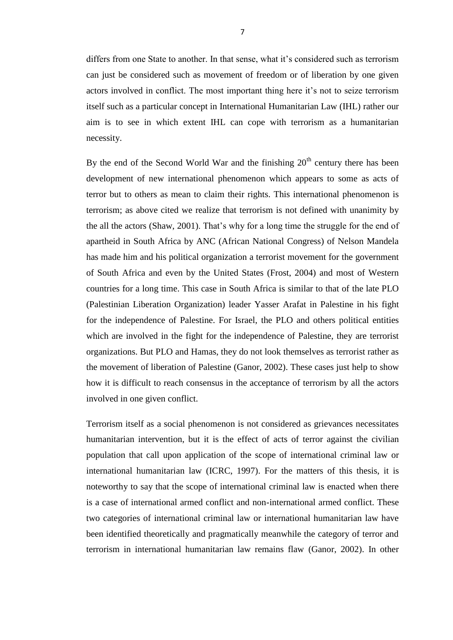differs from one State to another. In that sense, what it's considered such as terrorism can just be considered such as movement of freedom or of liberation by one given actors involved in conflict. The most important thing here it's not to seize terrorism itself such as a particular concept in International Humanitarian Law (IHL) rather our aim is to see in which extent IHL can cope with terrorism as a humanitarian necessity.

By the end of the Second World War and the finishing  $20<sup>th</sup>$  century there has been development of new international phenomenon which appears to some as acts of terror but to others as mean to claim their rights. This international phenomenon is terrorism; as above cited we realize that terrorism is not defined with unanimity by the all the actors (Shaw, 2001). That's why for a long time the struggle for the end of apartheid in South Africa by ANC (African National Congress) of Nelson Mandela has made him and his political organization a terrorist movement for the government of South Africa and even by the United States (Frost, 2004) and most of Western countries for a long time. This case in South Africa is similar to that of the late PLO (Palestinian Liberation Organization) leader Yasser Arafat in Palestine in his fight for the independence of Palestine. For Israel, the PLO and others political entities which are involved in the fight for the independence of Palestine, they are terrorist organizations. But PLO and Hamas, they do not look themselves as terrorist rather as the movement of liberation of Palestine (Ganor, 2002). These cases just help to show how it is difficult to reach consensus in the acceptance of terrorism by all the actors involved in one given conflict.

Terrorism itself as a social phenomenon is not considered as grievances necessitates humanitarian intervention, but it is the effect of acts of terror against the civilian population that call upon application of the scope of international criminal law or international humanitarian law (ICRC, 1997). For the matters of this thesis, it is noteworthy to say that the scope of international criminal law is enacted when there is a case of international armed conflict and non-international armed conflict. These two categories of international criminal law or international humanitarian law have been identified theoretically and pragmatically meanwhile the category of terror and terrorism in international humanitarian law remains flaw (Ganor, 2002). In other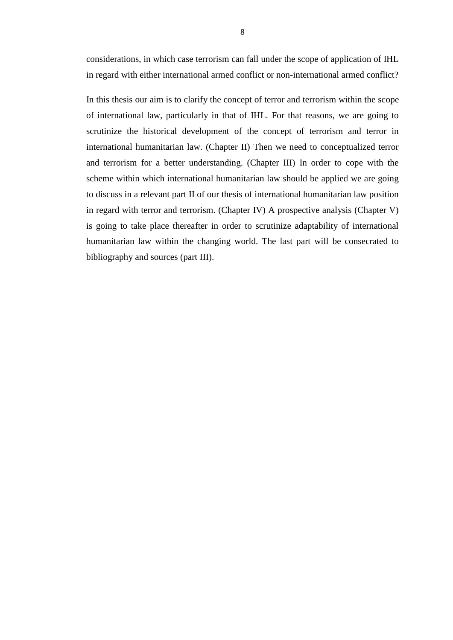considerations, in which case terrorism can fall under the scope of application of IHL in regard with either international armed conflict or non-international armed conflict?

In this thesis our aim is to clarify the concept of terror and terrorism within the scope of international law, particularly in that of IHL. For that reasons, we are going to scrutinize the historical development of the concept of terrorism and terror in international humanitarian law. (Chapter II) Then we need to conceptualized terror and terrorism for a better understanding. (Chapter III) In order to cope with the scheme within which international humanitarian law should be applied we are going to discuss in a relevant part II of our thesis of international humanitarian law position in regard with terror and terrorism. (Chapter IV) A prospective analysis (Chapter V) is going to take place thereafter in order to scrutinize adaptability of international humanitarian law within the changing world. The last part will be consecrated to bibliography and sources (part III).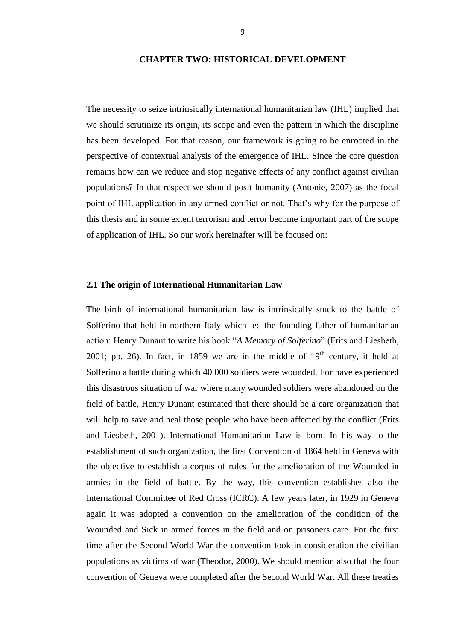#### **CHAPTER TWO: HISTORICAL DEVELOPMENT**

<span id="page-16-0"></span>The necessity to seize intrinsically international humanitarian law (IHL) implied that we should scrutinize its origin, its scope and even the pattern in which the discipline has been developed. For that reason, our framework is going to be enrooted in the perspective of contextual analysis of the emergence of IHL. Since the core question remains how can we reduce and stop negative effects of any conflict against civilian populations? In that respect we should posit humanity (Antonie, 2007) as the focal point of IHL application in any armed conflict or not. That's why for the purpose of this thesis and in some extent terrorism and terror become important part of the scope of application of IHL. So our work hereinafter will be focused on:

#### <span id="page-16-1"></span>**2.1 The origin of International Humanitarian Law**

The birth of international humanitarian law is intrinsically stuck to the battle of Solferino that held in northern Italy which led the founding father of humanitarian action: Henry Dunant to write his book "A Memory of Solferino" (Frits and Liesbeth, 2001; pp. 26). In fact, in 1859 we are in the middle of  $19<sup>th</sup>$  century, it held at Solferino a battle during which 40 000 soldiers were wounded. For have experienced this disastrous situation of war where many wounded soldiers were abandoned on the field of battle, Henry Dunant estimated that there should be a care organization that will help to save and heal those people who have been affected by the conflict (Frits and Liesbeth, 2001). International Humanitarian Law is born. In his way to the establishment of such organization, the first Convention of 1864 held in Geneva with the objective to establish a corpus of rules for the amelioration of the Wounded in armies in the field of battle. By the way, this convention establishes also the International Committee of Red Cross (ICRC). A few years later, in 1929 in Geneva again it was adopted a convention on the amelioration of the condition of the Wounded and Sick in armed forces in the field and on prisoners care. For the first time after the Second World War the convention took in consideration the civilian populations as victims of war (Theodor, 2000). We should mention also that the four convention of Geneva were completed after the Second World War. All these treaties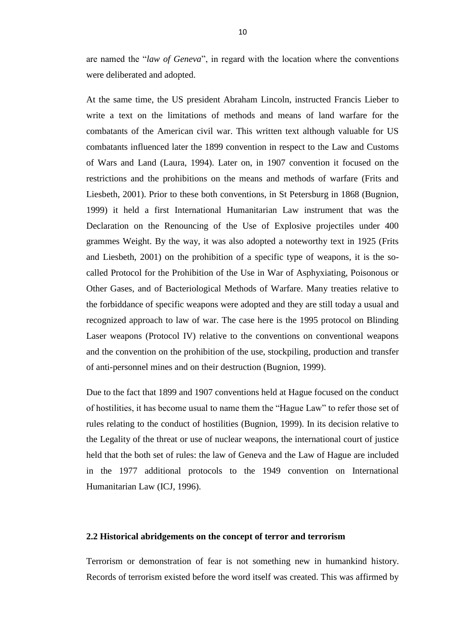are named the "*law of Geneva*", in regard with the location where the conventions were deliberated and adopted.

At the same time, the US president Abraham Lincoln, instructed Francis Lieber to write a text on the limitations of methods and means of land warfare for the combatants of the American civil war. This written text although valuable for US combatants influenced later the 1899 convention in respect to the Law and Customs of Wars and Land (Laura, 1994). Later on, in 1907 convention it focused on the restrictions and the prohibitions on the means and methods of warfare (Frits and Liesbeth, 2001). Prior to these both conventions, in St Petersburg in 1868 (Bugnion, 1999) it held a first International Humanitarian Law instrument that was the Declaration on the Renouncing of the Use of Explosive projectiles under 400 grammes Weight. By the way, it was also adopted a noteworthy text in 1925 (Frits and Liesbeth, 2001) on the prohibition of a specific type of weapons, it is the socalled Protocol for the Prohibition of the Use in War of Asphyxiating, Poisonous or Other Gases, and of Bacteriological Methods of Warfare. Many treaties relative to the forbiddance of specific weapons were adopted and they are still today a usual and recognized approach to law of war. The case here is the 1995 protocol on Blinding Laser weapons (Protocol IV) relative to the conventions on conventional weapons and the convention on the prohibition of the use, stockpiling, production and transfer of anti-personnel mines and on their destruction (Bugnion, 1999).

Due to the fact that 1899 and 1907 conventions held at Hague focused on the conduct of hostilities, it has become usual to name them the "Hague Law" to refer those set of rules relating to the conduct of hostilities (Bugnion, 1999). In its decision relative to the Legality of the threat or use of nuclear weapons, the international court of justice held that the both set of rules: the law of Geneva and the Law of Hague are included in the 1977 additional protocols to the 1949 convention on International Humanitarian Law (ICJ, 1996).

#### <span id="page-17-0"></span>**2.2 Historical abridgements on the concept of terror and terrorism**

Terrorism or demonstration of fear is not something new in humankind history. Records of terrorism existed before the word itself was created. This was affirmed by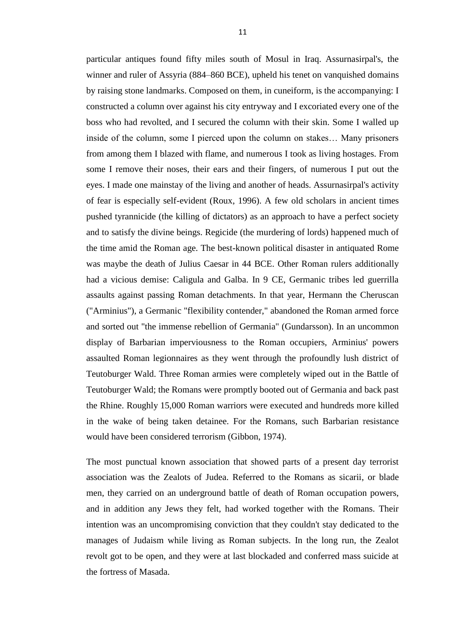particular antiques found fifty miles south of Mosul in Iraq. Assurnasirpal's, the winner and ruler of Assyria (884–860 BCE), upheld his tenet on vanquished domains by raising stone landmarks. Composed on them, in cuneiform, is the accompanying: I constructed a column over against his city entryway and I excoriated every one of the boss who had revolted, and I secured the column with their skin. Some I walled up inside of the column, some I pierced upon the column on stakes… Many prisoners from among them I blazed with flame, and numerous I took as living hostages. From some I remove their noses, their ears and their fingers, of numerous I put out the eyes. I made one mainstay of the living and another of heads. Assurnasirpal's activity of fear is especially self-evident (Roux, 1996). A few old scholars in ancient times pushed tyrannicide (the killing of dictators) as an approach to have a perfect society and to satisfy the divine beings. Regicide (the murdering of lords) happened much of the time amid the Roman age. The best-known political disaster in antiquated Rome was maybe the death of Julius Caesar in 44 BCE. Other Roman rulers additionally had a vicious demise: Caligula and Galba. In 9 CE, Germanic tribes led guerrilla assaults against passing Roman detachments. In that year, Hermann the Cheruscan ("Arminius"), a Germanic "flexibility contender," abandoned the Roman armed force and sorted out "the immense rebellion of Germania" (Gundarsson). In an uncommon display of Barbarian imperviousness to the Roman occupiers, Arminius' powers assaulted Roman legionnaires as they went through the profoundly lush district of Teutoburger Wald. Three Roman armies were completely wiped out in the Battle of Teutoburger Wald; the Romans were promptly booted out of Germania and back past the Rhine. Roughly 15,000 Roman warriors were executed and hundreds more killed in the wake of being taken detainee. For the Romans, such Barbarian resistance would have been considered terrorism (Gibbon, 1974).

The most punctual known association that showed parts of a present day terrorist association was the Zealots of Judea. Referred to the Romans as sicarii, or blade men, they carried on an underground battle of death of Roman occupation powers, and in addition any Jews they felt, had worked together with the Romans. Their intention was an uncompromising conviction that they couldn't stay dedicated to the manages of Judaism while living as Roman subjects. In the long run, the Zealot revolt got to be open, and they were at last blockaded and conferred mass suicide at the fortress of Masada.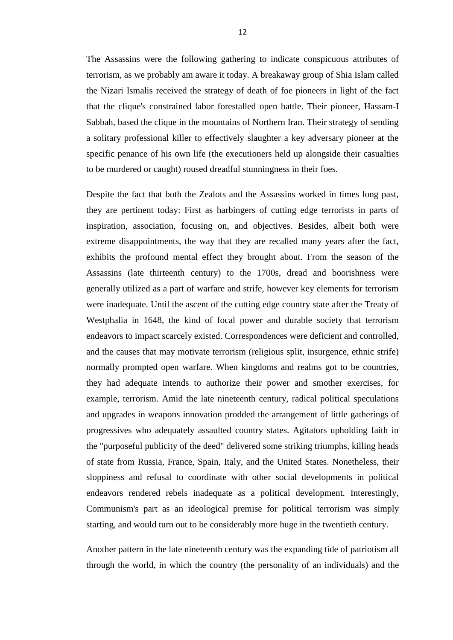The Assassins were the following gathering to indicate conspicuous attributes of terrorism, as we probably am aware it today. A breakaway group of Shia Islam called the Nizari Ismalis received the strategy of death of foe pioneers in light of the fact that the clique's constrained labor forestalled open battle. Their pioneer, Hassam-I Sabbah, based the clique in the mountains of Northern Iran. Their strategy of sending a solitary professional killer to effectively slaughter a key adversary pioneer at the specific penance of his own life (the executioners held up alongside their casualties to be murdered or caught) roused dreadful stunningness in their foes.

Despite the fact that both the Zealots and the Assassins worked in times long past, they are pertinent today: First as harbingers of cutting edge terrorists in parts of inspiration, association, focusing on, and objectives. Besides, albeit both were extreme disappointments, the way that they are recalled many years after the fact, exhibits the profound mental effect they brought about. From the season of the Assassins (late thirteenth century) to the 1700s, dread and boorishness were generally utilized as a part of warfare and strife, however key elements for terrorism were inadequate. Until the ascent of the cutting edge country state after the Treaty of Westphalia in 1648, the kind of focal power and durable society that terrorism endeavors to impact scarcely existed. Correspondences were deficient and controlled, and the causes that may motivate terrorism (religious split, insurgence, ethnic strife) normally prompted open warfare. When kingdoms and realms got to be countries, they had adequate intends to authorize their power and smother exercises, for example, terrorism. Amid the late nineteenth century, radical political speculations and upgrades in weapons innovation prodded the arrangement of little gatherings of progressives who adequately assaulted country states. Agitators upholding faith in the "purposeful publicity of the deed" delivered some striking triumphs, killing heads of state from Russia, France, Spain, Italy, and the United States. Nonetheless, their sloppiness and refusal to coordinate with other social developments in political endeavors rendered rebels inadequate as a political development. Interestingly, Communism's part as an ideological premise for political terrorism was simply starting, and would turn out to be considerably more huge in the twentieth century.

Another pattern in the late nineteenth century was the expanding tide of patriotism all through the world, in which the country (the personality of an individuals) and the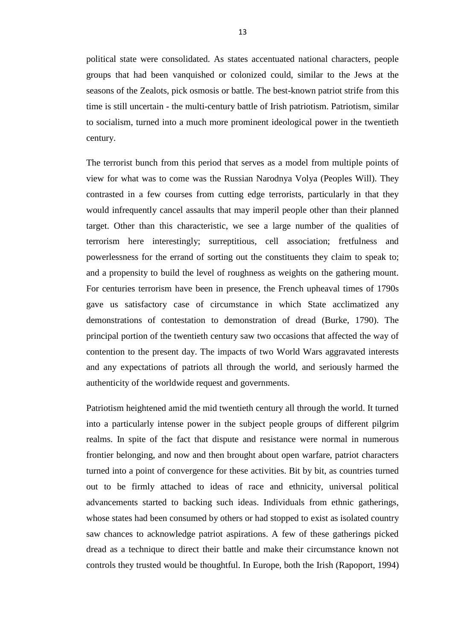political state were consolidated. As states accentuated national characters, people groups that had been vanquished or colonized could, similar to the Jews at the seasons of the Zealots, pick osmosis or battle. The best-known patriot strife from this time is still uncertain - the multi-century battle of Irish patriotism. Patriotism, similar to socialism, turned into a much more prominent ideological power in the twentieth century.

The terrorist bunch from this period that serves as a model from multiple points of view for what was to come was the Russian Narodnya Volya (Peoples Will). They contrasted in a few courses from cutting edge terrorists, particularly in that they would infrequently cancel assaults that may imperil people other than their planned target. Other than this characteristic, we see a large number of the qualities of terrorism here interestingly; surreptitious, cell association; fretfulness and powerlessness for the errand of sorting out the constituents they claim to speak to; and a propensity to build the level of roughness as weights on the gathering mount. For centuries terrorism have been in presence, the French upheaval times of 1790s gave us satisfactory case of circumstance in which State acclimatized any demonstrations of contestation to demonstration of dread (Burke, 1790). The principal portion of the twentieth century saw two occasions that affected the way of contention to the present day. The impacts of two World Wars aggravated interests and any expectations of patriots all through the world, and seriously harmed the authenticity of the worldwide request and governments.

Patriotism heightened amid the mid twentieth century all through the world. It turned into a particularly intense power in the subject people groups of different pilgrim realms. In spite of the fact that dispute and resistance were normal in numerous frontier belonging, and now and then brought about open warfare, patriot characters turned into a point of convergence for these activities. Bit by bit, as countries turned out to be firmly attached to ideas of race and ethnicity, universal political advancements started to backing such ideas. Individuals from ethnic gatherings, whose states had been consumed by others or had stopped to exist as isolated country saw chances to acknowledge patriot aspirations. A few of these gatherings picked dread as a technique to direct their battle and make their circumstance known not controls they trusted would be thoughtful. In Europe, both the Irish (Rapoport, 1994)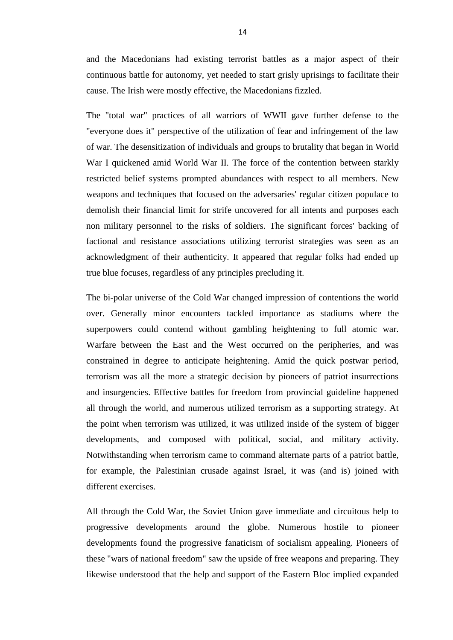and the Macedonians had existing terrorist battles as a major aspect of their continuous battle for autonomy, yet needed to start grisly uprisings to facilitate their cause. The Irish were mostly effective, the Macedonians fizzled.

The "total war" practices of all warriors of WWII gave further defense to the "everyone does it" perspective of the utilization of fear and infringement of the law of war. The desensitization of individuals and groups to brutality that began in World War I quickened amid World War II. The force of the contention between starkly restricted belief systems prompted abundances with respect to all members. New weapons and techniques that focused on the adversaries' regular citizen populace to demolish their financial limit for strife uncovered for all intents and purposes each non military personnel to the risks of soldiers. The significant forces' backing of factional and resistance associations utilizing terrorist strategies was seen as an acknowledgment of their authenticity. It appeared that regular folks had ended up true blue focuses, regardless of any principles precluding it.

The bi-polar universe of the Cold War changed impression of contentions the world over. Generally minor encounters tackled importance as stadiums where the superpowers could contend without gambling heightening to full atomic war. Warfare between the East and the West occurred on the peripheries, and was constrained in degree to anticipate heightening. Amid the quick postwar period, terrorism was all the more a strategic decision by pioneers of patriot insurrections and insurgencies. Effective battles for freedom from provincial guideline happened all through the world, and numerous utilized terrorism as a supporting strategy. At the point when terrorism was utilized, it was utilized inside of the system of bigger developments, and composed with political, social, and military activity. Notwithstanding when terrorism came to command alternate parts of a patriot battle, for example, the Palestinian crusade against Israel, it was (and is) joined with different exercises.

All through the Cold War, the Soviet Union gave immediate and circuitous help to progressive developments around the globe. Numerous hostile to pioneer developments found the progressive fanaticism of socialism appealing. Pioneers of these "wars of national freedom" saw the upside of free weapons and preparing. They likewise understood that the help and support of the Eastern Bloc implied expanded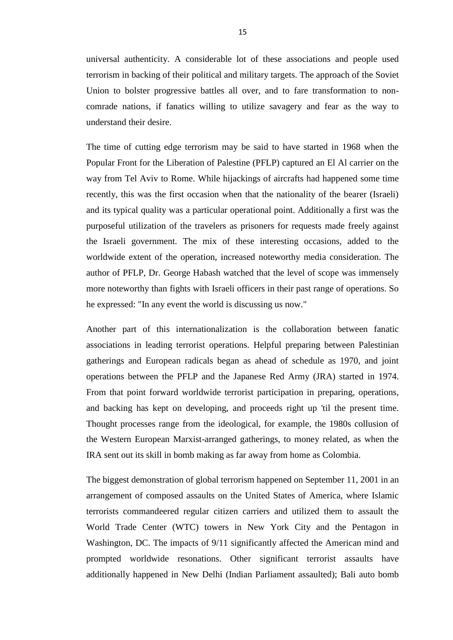universal authenticity. A considerable lot of these associations and people used terrorism in backing of their political and military targets. The approach of the Soviet Union to bolster progressive battles all over, and to fare transformation to noncomrade nations, if fanatics willing to utilize savagery and fear as the way to understand their desire.

The time of cutting edge terrorism may be said to have started in 1968 when the Popular Front for the Liberation of Palestine (PFLP) captured an El Al carrier on the way from Tel Aviv to Rome. While hijackings of aircrafts had happened some time recently, this was the first occasion when that the nationality of the bearer (Israeli) and its typical quality was a particular operational point. Additionally a first was the purposeful utilization of the travelers as prisoners for requests made freely against the Israeli government. The mix of these interesting occasions, added to the worldwide extent of the operation, increased noteworthy media consideration. The author of PFLP, Dr. George Habash watched that the level of scope was immensely more noteworthy than fights with Israeli officers in their past range of operations. So he expressed: "In any event the world is discussing us now."

Another part of this internationalization is the collaboration between fanatic associations in leading terrorist operations. Helpful preparing between Palestinian gatherings and European radicals began as ahead of schedule as 1970, and joint operations between the PFLP and the Japanese Red Army (JRA) started in 1974. From that point forward worldwide terrorist participation in preparing, operations, and backing has kept on developing, and proceeds right up 'til the present time. Thought processes range from the ideological, for example, the 1980s collusion of the Western European Marxist-arranged gatherings, to money related, as when the IRA sent out its skill in bomb making as far away from home as Colombia.

The biggest demonstration of global terrorism happened on September 11, 2001 in an arrangement of composed assaults on the United States of America, where Islamic terrorists commandeered regular citizen carriers and utilized them to assault the World Trade Center (WTC) towers in New York City and the Pentagon in Washington, DC. The impacts of 9/11 significantly affected the American mind and prompted worldwide resonations. Other significant terrorist assaults have additionally happened in New Delhi (Indian Parliament assaulted); Bali auto bomb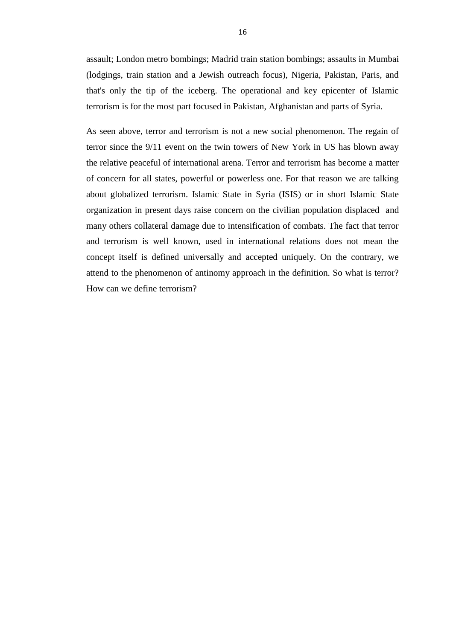assault; London metro bombings; Madrid train station bombings; assaults in Mumbai (lodgings, train station and a Jewish outreach focus), Nigeria, Pakistan, Paris, and that's only the tip of the iceberg. The operational and key epicenter of Islamic terrorism is for the most part focused in Pakistan, Afghanistan and parts of Syria.

As seen above, terror and terrorism is not a new social phenomenon. The regain of terror since the 9/11 event on the twin towers of New York in US has blown away the relative peaceful of international arena. Terror and terrorism has become a matter of concern for all states, powerful or powerless one. For that reason we are talking about globalized terrorism. Islamic State in Syria (ISIS) or in short Islamic State organization in present days raise concern on the civilian population displaced and many others collateral damage due to intensification of combats. The fact that terror and terrorism is well known, used in international relations does not mean the concept itself is defined universally and accepted uniquely. On the contrary, we attend to the phenomenon of antinomy approach in the definition. So what is terror? How can we define terrorism?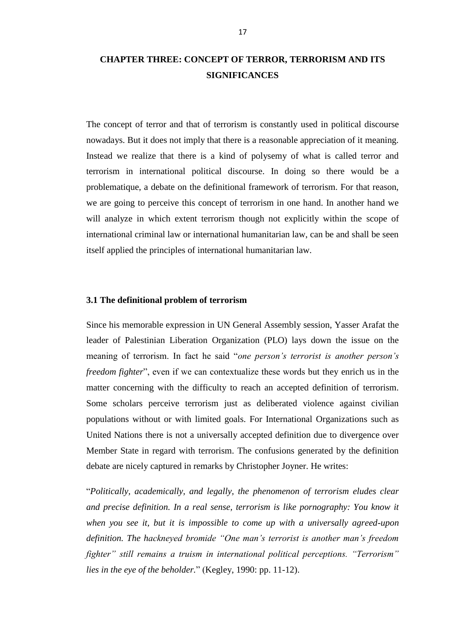# <span id="page-24-0"></span>**CHAPTER THREE: CONCEPT OF TERROR, TERRORISM AND ITS SIGNIFICANCES**

The concept of terror and that of terrorism is constantly used in political discourse nowadays. But it does not imply that there is a reasonable appreciation of it meaning. Instead we realize that there is a kind of polysemy of what is called terror and terrorism in international political discourse. In doing so there would be a problematique, a debate on the definitional framework of terrorism. For that reason, we are going to perceive this concept of terrorism in one hand. In another hand we will analyze in which extent terrorism though not explicitly within the scope of international criminal law or international humanitarian law, can be and shall be seen itself applied the principles of international humanitarian law.

#### <span id="page-24-1"></span>**3.1 The definitional problem of terrorism**

Since his memorable expression in UN General Assembly session, Yasser Arafat the leader of Palestinian Liberation Organization (PLO) lays down the issue on the meaning of terrorism. In fact he said "*one person's terrorist is another person's freedom fighter*", even if we can contextualize these words but they enrich us in the matter concerning with the difficulty to reach an accepted definition of terrorism. Some scholars perceive terrorism just as deliberated violence against civilian populations without or with limited goals. For International Organizations such as United Nations there is not a universally accepted definition due to divergence over Member State in regard with terrorism. The confusions generated by the definition debate are nicely captured in remarks by Christopher Joyner. He writes:

―*Politically, academically, and legally, the phenomenon of terrorism eludes clear and precise definition. In a real sense, terrorism is like pornography: You know it when you see it, but it is impossible to come up with a universally agreed-upon definition. The hackneyed bromide "One man's terrorist is another man's freedom fighter" still remains a truism in international political perceptions. "Terrorism" lies in the eye of the beholder.*" (Kegley, 1990: pp. 11-12).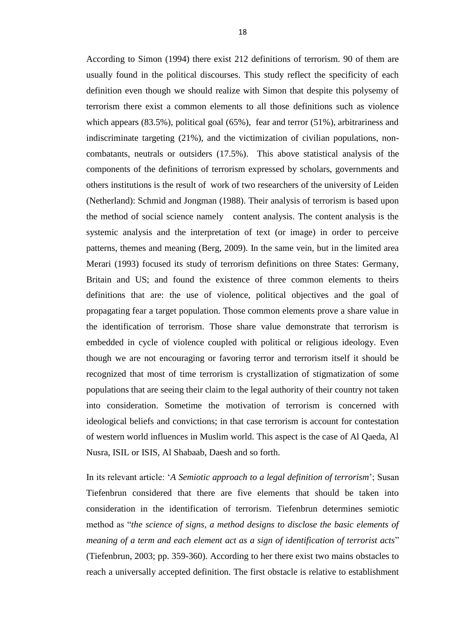According to Simon (1994) there exist 212 definitions of terrorism. 90 of them are usually found in the political discourses. This study reflect the specificity of each definition even though we should realize with Simon that despite this polysemy of terrorism there exist a common elements to all those definitions such as violence which appears (83.5%), political goal (65%), fear and terror (51%), arbitrariness and indiscriminate targeting (21%), and the victimization of civilian populations, noncombatants, neutrals or outsiders (17.5%). This above statistical analysis of the components of the definitions of terrorism expressed by scholars, governments and others institutions is the result of work of two researchers of the university of Leiden (Netherland): Schmid and Jongman (1988). Their analysis of terrorism is based upon the method of social science namely content analysis. The content analysis is the systemic analysis and the interpretation of text (or image) in order to perceive patterns, themes and meaning (Berg, 2009). In the same vein, but in the limited area Merari (1993) focused its study of terrorism definitions on three States: Germany, Britain and US; and found the existence of three common elements to theirs definitions that are: the use of violence, political objectives and the goal of propagating fear a target population. Those common elements prove a share value in the identification of terrorism. Those share value demonstrate that terrorism is embedded in cycle of violence coupled with political or religious ideology. Even though we are not encouraging or favoring terror and terrorism itself it should be recognized that most of time terrorism is crystallization of stigmatization of some populations that are seeing their claim to the legal authority of their country not taken into consideration. Sometime the motivation of terrorism is concerned with ideological beliefs and convictions; in that case terrorism is account for contestation of western world influences in Muslim world. This aspect is the case of Al Qaeda, Al Nusra, ISIL or ISIS, Al Shabaab, Daesh and so forth.

In its relevant article: ‗*A Semiotic approach to a legal definition of terrorism*'; Susan Tiefenbrun considered that there are five elements that should be taken into consideration in the identification of terrorism. Tiefenbrun determines semiotic method as "*the science of signs, a method designs to disclose the basic elements of meaning of a term and each element act as a sign of identification of terrorist acts*" (Tiefenbrun, 2003; pp. 359-360). According to her there exist two mains obstacles to reach a universally accepted definition. The first obstacle is relative to establishment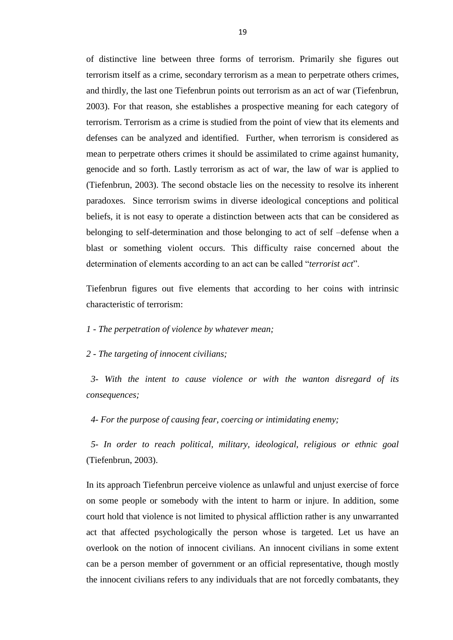of distinctive line between three forms of terrorism. Primarily she figures out terrorism itself as a crime, secondary terrorism as a mean to perpetrate others crimes, and thirdly, the last one Tiefenbrun points out terrorism as an act of war (Tiefenbrun, 2003). For that reason, she establishes a prospective meaning for each category of terrorism. Terrorism as a crime is studied from the point of view that its elements and defenses can be analyzed and identified. Further, when terrorism is considered as mean to perpetrate others crimes it should be assimilated to crime against humanity, genocide and so forth. Lastly terrorism as act of war, the law of war is applied to (Tiefenbrun, 2003). The second obstacle lies on the necessity to resolve its inherent paradoxes. Since terrorism swims in diverse ideological conceptions and political beliefs, it is not easy to operate a distinction between acts that can be considered as belonging to self-determination and those belonging to act of self –defense when a blast or something violent occurs. This difficulty raise concerned about the determination of elements according to an act can be called "*terrorist act*".

Tiefenbrun figures out five elements that according to her coins with intrinsic characteristic of terrorism:

#### *1 - The perpetration of violence by whatever mean;*

#### *2 - The targeting of innocent civilians;*

 *3- With the intent to cause violence or with the wanton disregard of its consequences;*

 *4- For the purpose of causing fear, coercing or intimidating enemy;*

 *5- In order to reach political, military, ideological, religious or ethnic goal*  (Tiefenbrun, 2003).

In its approach Tiefenbrun perceive violence as unlawful and unjust exercise of force on some people or somebody with the intent to harm or injure. In addition, some court hold that violence is not limited to physical affliction rather is any unwarranted act that affected psychologically the person whose is targeted. Let us have an overlook on the notion of innocent civilians. An innocent civilians in some extent can be a person member of government or an official representative, though mostly the innocent civilians refers to any individuals that are not forcedly combatants, they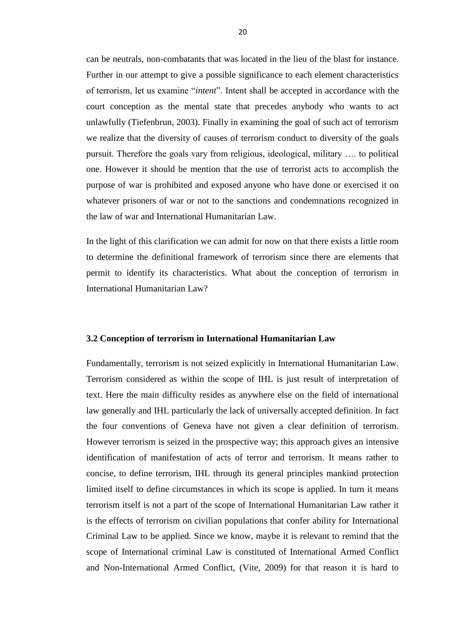can be neutrals, non-combatants that was located in the lieu of the blast for instance. Further in our attempt to give a possible significance to each element characteristics of terrorism, let us examine "*intent*". Intent shall be accepted in accordance with the court conception as the mental state that precedes anybody who wants to act unlawfully (Tiefenbrun, 2003). Finally in examining the goal of such act of terrorism we realize that the diversity of causes of terrorism conduct to diversity of the goals pursuit. Therefore the goals vary from religious, ideological, military …. to political one. However it should be mention that the use of terrorist acts to accomplish the purpose of war is prohibited and exposed anyone who have done or exercised it on whatever prisoners of war or not to the sanctions and condemnations recognized in the law of war and International Humanitarian Law.

In the light of this clarification we can admit for now on that there exists a little room to determine the definitional framework of terrorism since there are elements that permit to identify its characteristics. What about the conception of terrorism in International Humanitarian Law?

#### <span id="page-27-0"></span>**3.2 Conception of terrorism in International Humanitarian Law**

Fundamentally, terrorism is not seized explicitly in International Humanitarian Law. Terrorism considered as within the scope of IHL is just result of interpretation of text. Here the main difficulty resides as anywhere else on the field of international law generally and IHL particularly the lack of universally accepted definition. In fact the four conventions of Geneva have not given a clear definition of terrorism. However terrorism is seized in the prospective way; this approach gives an intensive identification of manifestation of acts of terror and terrorism. It means rather to concise, to define terrorism, IHL through its general principles mankind protection limited itself to define circumstances in which its scope is applied. In turn it means terrorism itself is not a part of the scope of International Humanitarian Law rather it is the effects of terrorism on civilian populations that confer ability for International Criminal Law to be applied. Since we know, maybe it is relevant to remind that the scope of International criminal Law is constituted of International Armed Conflict and Non-International Armed Conflict, (Vite, 2009) for that reason it is hard to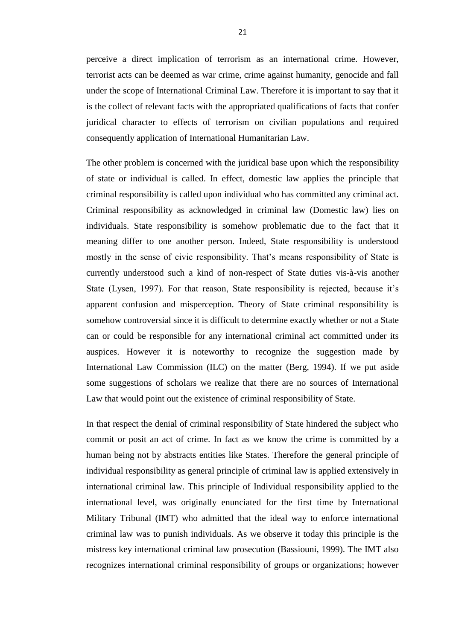perceive a direct implication of terrorism as an international crime. However, terrorist acts can be deemed as war crime, crime against humanity, genocide and fall under the scope of International Criminal Law. Therefore it is important to say that it is the collect of relevant facts with the appropriated qualifications of facts that confer juridical character to effects of terrorism on civilian populations and required consequently application of International Humanitarian Law.

The other problem is concerned with the juridical base upon which the responsibility of state or individual is called. In effect, domestic law applies the principle that criminal responsibility is called upon individual who has committed any criminal act. Criminal responsibility as acknowledged in criminal law (Domestic law) lies on individuals. State responsibility is somehow problematic due to the fact that it meaning differ to one another person. Indeed, State responsibility is understood mostly in the sense of civic responsibility. That's means responsibility of State is currently understood such a kind of non-respect of State duties vis-à-vis another State (Lysen, 1997). For that reason, State responsibility is rejected, because it's apparent confusion and misperception. Theory of State criminal responsibility is somehow controversial since it is difficult to determine exactly whether or not a State can or could be responsible for any international criminal act committed under its auspices. However it is noteworthy to recognize the suggestion made by International Law Commission (ILC) on the matter (Berg, 1994). If we put aside some suggestions of scholars we realize that there are no sources of International Law that would point out the existence of criminal responsibility of State.

In that respect the denial of criminal responsibility of State hindered the subject who commit or posit an act of crime. In fact as we know the crime is committed by a human being not by abstracts entities like States. Therefore the general principle of individual responsibility as general principle of criminal law is applied extensively in international criminal law. This principle of Individual responsibility applied to the international level, was originally enunciated for the first time by International Military Tribunal (IMT) who admitted that the ideal way to enforce international criminal law was to punish individuals. As we observe it today this principle is the mistress key international criminal law prosecution (Bassiouni, 1999). The IMT also recognizes international criminal responsibility of groups or organizations; however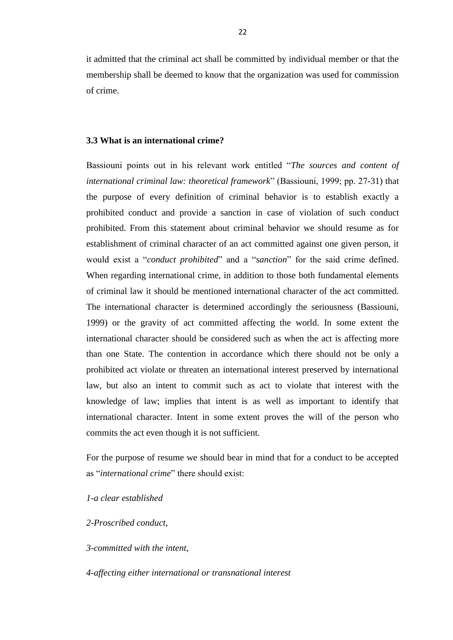it admitted that the criminal act shall be committed by individual member or that the membership shall be deemed to know that the organization was used for commission of crime.

#### <span id="page-29-0"></span>**3.3 What is an international crime?**

Bassiouni points out in his relevant work entitled "The sources and content of *international criminal law: theoretical framework*‖ (Bassiouni, 1999; pp. 27-31) that the purpose of every definition of criminal behavior is to establish exactly a prohibited conduct and provide a sanction in case of violation of such conduct prohibited. From this statement about criminal behavior we should resume as for establishment of criminal character of an act committed against one given person, it would exist a "*conduct prohibited*" and a "*sanction*" for the said crime defined. When regarding international crime, in addition to those both fundamental elements of criminal law it should be mentioned international character of the act committed. The international character is determined accordingly the seriousness (Bassiouni, 1999) or the gravity of act committed affecting the world. In some extent the international character should be considered such as when the act is affecting more than one State. The contention in accordance which there should not be only a prohibited act violate or threaten an international interest preserved by international law, but also an intent to commit such as act to violate that interest with the knowledge of law; implies that intent is as well as important to identify that international character. Intent in some extent proves the will of the person who commits the act even though it is not sufficient.

For the purpose of resume we should bear in mind that for a conduct to be accepted as "*international crime*" there should exist:

## *1-a clear established*

#### *2-Proscribed conduct,*

*3-committed with the intent,* 

*4-affecting either international or transnational interest*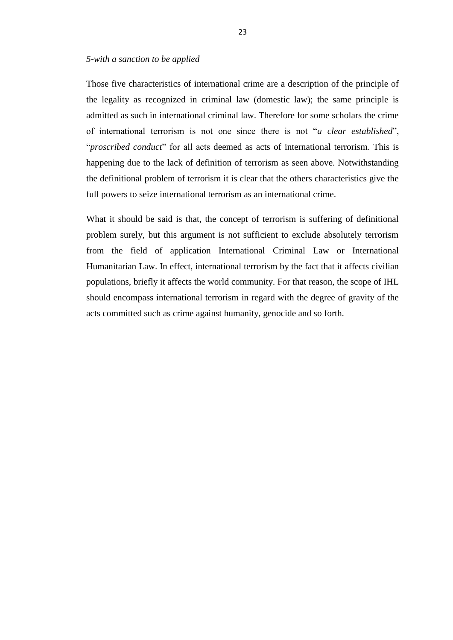#### *5-with a sanction to be applied*

Those five characteristics of international crime are a description of the principle of the legality as recognized in criminal law (domestic law); the same principle is admitted as such in international criminal law. Therefore for some scholars the crime of international terrorism is not one since there is not "*a clear established*", "*proscribed conduct*" for all acts deemed as acts of international terrorism. This is happening due to the lack of definition of terrorism as seen above. Notwithstanding the definitional problem of terrorism it is clear that the others characteristics give the full powers to seize international terrorism as an international crime.

What it should be said is that, the concept of terrorism is suffering of definitional problem surely, but this argument is not sufficient to exclude absolutely terrorism from the field of application International Criminal Law or International Humanitarian Law. In effect, international terrorism by the fact that it affects civilian populations, briefly it affects the world community. For that reason, the scope of IHL should encompass international terrorism in regard with the degree of gravity of the acts committed such as crime against humanity, genocide and so forth.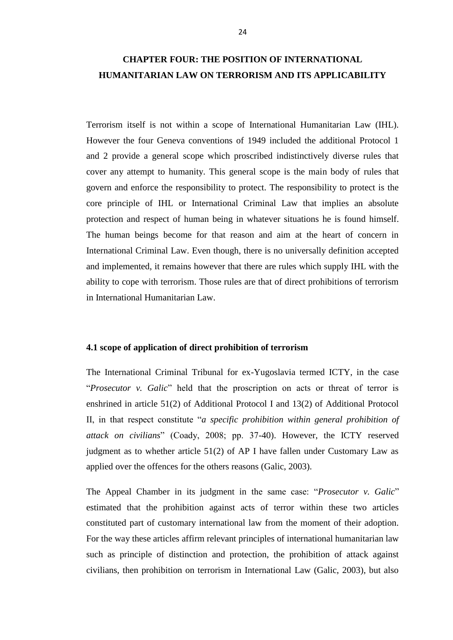# <span id="page-31-0"></span>**CHAPTER FOUR: THE POSITION OF INTERNATIONAL HUMANITARIAN LAW ON TERRORISM AND ITS APPLICABILITY**

Terrorism itself is not within a scope of International Humanitarian Law (IHL). However the four Geneva conventions of 1949 included the additional Protocol 1 and 2 provide a general scope which proscribed indistinctively diverse rules that cover any attempt to humanity. This general scope is the main body of rules that govern and enforce the responsibility to protect. The responsibility to protect is the core principle of IHL or International Criminal Law that implies an absolute protection and respect of human being in whatever situations he is found himself. The human beings become for that reason and aim at the heart of concern in International Criminal Law. Even though, there is no universally definition accepted and implemented, it remains however that there are rules which supply IHL with the ability to cope with terrorism. Those rules are that of direct prohibitions of terrorism in International Humanitarian Law.

#### <span id="page-31-1"></span>**4.1 scope of application of direct prohibition of terrorism**

The International Criminal Tribunal for ex-Yugoslavia termed ICTY, in the case "Prosecutor v. Galic" held that the proscription on acts or threat of terror is enshrined in article 51(2) of Additional Protocol I and 13(2) of Additional Protocol II, in that respect constitute "*a specific prohibition within general prohibition of attack on civilians*‖ (Coady, 2008; pp. 37-40). However, the ICTY reserved judgment as to whether article 51(2) of AP I have fallen under Customary Law as applied over the offences for the others reasons (Galic, 2003).

The Appeal Chamber in its judgment in the same case: "*Prosecutor v. Galic*" estimated that the prohibition against acts of terror within these two articles constituted part of customary international law from the moment of their adoption. For the way these articles affirm relevant principles of international humanitarian law such as principle of distinction and protection, the prohibition of attack against civilians, then prohibition on terrorism in International Law (Galic, 2003), but also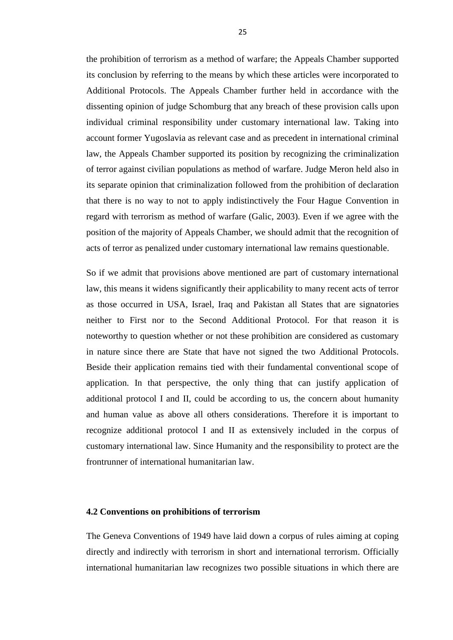the prohibition of terrorism as a method of warfare; the Appeals Chamber supported its conclusion by referring to the means by which these articles were incorporated to Additional Protocols. The Appeals Chamber further held in accordance with the dissenting opinion of judge Schomburg that any breach of these provision calls upon individual criminal responsibility under customary international law. Taking into account former Yugoslavia as relevant case and as precedent in international criminal law, the Appeals Chamber supported its position by recognizing the criminalization of terror against civilian populations as method of warfare. Judge Meron held also in its separate opinion that criminalization followed from the prohibition of declaration that there is no way to not to apply indistinctively the Four Hague Convention in regard with terrorism as method of warfare (Galic, 2003). Even if we agree with the position of the majority of Appeals Chamber, we should admit that the recognition of acts of terror as penalized under customary international law remains questionable.

So if we admit that provisions above mentioned are part of customary international law, this means it widens significantly their applicability to many recent acts of terror as those occurred in USA, Israel, Iraq and Pakistan all States that are signatories neither to First nor to the Second Additional Protocol. For that reason it is noteworthy to question whether or not these prohibition are considered as customary in nature since there are State that have not signed the two Additional Protocols. Beside their application remains tied with their fundamental conventional scope of application. In that perspective, the only thing that can justify application of additional protocol I and II, could be according to us, the concern about humanity and human value as above all others considerations. Therefore it is important to recognize additional protocol I and II as extensively included in the corpus of customary international law. Since Humanity and the responsibility to protect are the frontrunner of international humanitarian law.

#### <span id="page-32-0"></span>**4.2 Conventions on prohibitions of terrorism**

The Geneva Conventions of 1949 have laid down a corpus of rules aiming at coping directly and indirectly with terrorism in short and international terrorism. Officially international humanitarian law recognizes two possible situations in which there are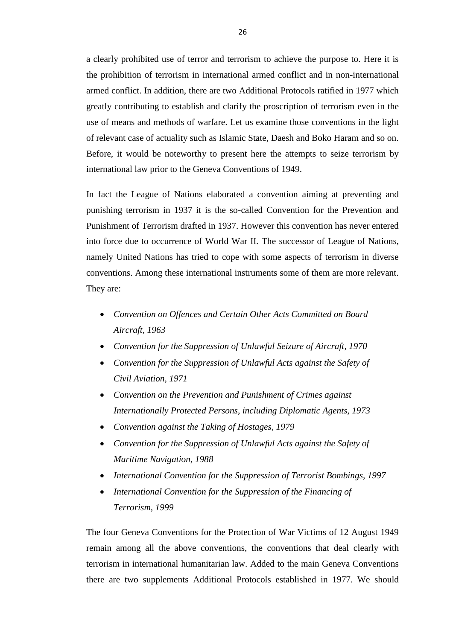a clearly prohibited use of terror and terrorism to achieve the purpose to. Here it is the prohibition of terrorism in international armed conflict and in non-international armed conflict. In addition, there are two Additional Protocols ratified in 1977 which greatly contributing to establish and clarify the proscription of terrorism even in the use of means and methods of warfare. Let us examine those conventions in the light of relevant case of actuality such as Islamic State, Daesh and Boko Haram and so on. Before, it would be noteworthy to present here the attempts to seize terrorism by international law prior to the Geneva Conventions of 1949.

In fact the League of Nations elaborated a convention aiming at preventing and punishing terrorism in 1937 it is the so-called Convention for the Prevention and Punishment of Terrorism drafted in 1937. However this convention has never entered into force due to occurrence of World War II. The successor of League of Nations, namely United Nations has tried to cope with some aspects of terrorism in diverse conventions. Among these international instruments some of them are more relevant. They are:

- *Convention on Offences and Certain Other Acts Committed on Board Aircraft, 1963*
- *Convention for the Suppression of Unlawful Seizure of Aircraft, 1970*
- *Convention for the Suppression of Unlawful Acts against the Safety of Civil Aviation, 1971*
- *Convention on the Prevention and Punishment of Crimes against Internationally Protected Persons, including Diplomatic Agents, 1973*
- *Convention against the Taking of Hostages, 1979*
- *Convention for the Suppression of Unlawful Acts against the Safety of Maritime Navigation, 1988*
- *International Convention for the Suppression of Terrorist Bombings, 1997*
- *International Convention for the Suppression of the Financing of Terrorism, 1999*

The four Geneva Conventions for the Protection of War Victims of 12 August 1949 remain among all the above conventions, the conventions that deal clearly with terrorism in international humanitarian law. Added to the main Geneva Conventions there are two supplements Additional Protocols established in 1977. We should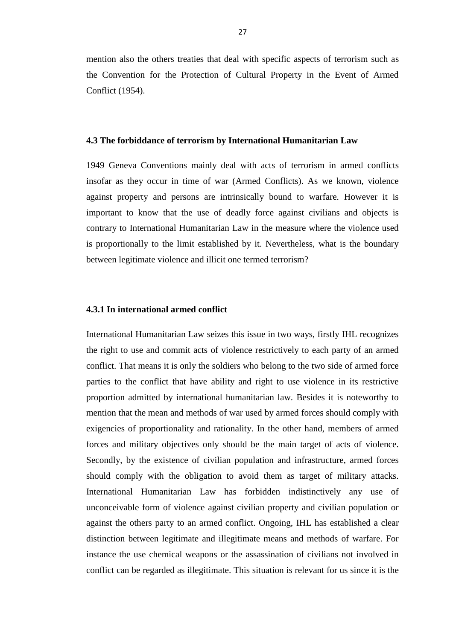mention also the others treaties that deal with specific aspects of terrorism such as the Convention for the Protection of Cultural Property in the Event of Armed Conflict (1954).

#### <span id="page-34-0"></span>**4.3 The forbiddance of terrorism by International Humanitarian Law**

1949 Geneva Conventions mainly deal with acts of terrorism in armed conflicts insofar as they occur in time of war (Armed Conflicts). As we known, violence against property and persons are intrinsically bound to warfare. However it is important to know that the use of deadly force against civilians and objects is contrary to International Humanitarian Law in the measure where the violence used is proportionally to the limit established by it. Nevertheless, what is the boundary between legitimate violence and illicit one termed terrorism?

#### <span id="page-34-1"></span>**4.3.1 In international armed conflict**

International Humanitarian Law seizes this issue in two ways, firstly IHL recognizes the right to use and commit acts of violence restrictively to each party of an armed conflict. That means it is only the soldiers who belong to the two side of armed force parties to the conflict that have ability and right to use violence in its restrictive proportion admitted by international humanitarian law. Besides it is noteworthy to mention that the mean and methods of war used by armed forces should comply with exigencies of proportionality and rationality. In the other hand, members of armed forces and military objectives only should be the main target of acts of violence. Secondly, by the existence of civilian population and infrastructure, armed forces should comply with the obligation to avoid them as target of military attacks. International Humanitarian Law has forbidden indistinctively any use of unconceivable form of violence against civilian property and civilian population or against the others party to an armed conflict. Ongoing, IHL has established a clear distinction between legitimate and illegitimate means and methods of warfare. For instance the use chemical weapons or the assassination of civilians not involved in conflict can be regarded as illegitimate. This situation is relevant for us since it is the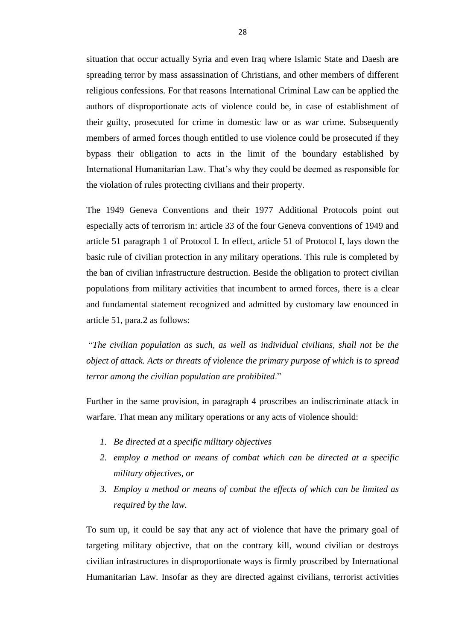situation that occur actually Syria and even Iraq where Islamic State and Daesh are spreading terror by mass assassination of Christians, and other members of different religious confessions. For that reasons International Criminal Law can be applied the authors of disproportionate acts of violence could be, in case of establishment of their guilty, prosecuted for crime in domestic law or as war crime. Subsequently members of armed forces though entitled to use violence could be prosecuted if they bypass their obligation to acts in the limit of the boundary established by International Humanitarian Law. That's why they could be deemed as responsible for the violation of rules protecting civilians and their property.

The 1949 Geneva Conventions and their 1977 Additional Protocols point out especially acts of terrorism in: article 33 of the four Geneva conventions of 1949 and article 51 paragraph 1 of Protocol I. In effect, article 51 of Protocol I, lays down the basic rule of civilian protection in any military operations. This rule is completed by the ban of civilian infrastructure destruction. Beside the obligation to protect civilian populations from military activities that incumbent to armed forces, there is a clear and fundamental statement recognized and admitted by customary law enounced in article 51, para.2 as follows:

―*The civilian population as such, as well as individual civilians, shall not be the object of attack. Acts or threats of violence the primary purpose of which is to spread terror among the civilian population are prohibited.*"

Further in the same provision, in paragraph 4 proscribes an indiscriminate attack in warfare. That mean any military operations or any acts of violence should:

- *1. Be directed at a specific military objectives*
- *2. employ a method or means of combat which can be directed at a specific military objectives, or*
- *3. Employ a method or means of combat the effects of which can be limited as required by the law.*

To sum up, it could be say that any act of violence that have the primary goal of targeting military objective, that on the contrary kill, wound civilian or destroys civilian infrastructures in disproportionate ways is firmly proscribed by International Humanitarian Law. Insofar as they are directed against civilians, terrorist activities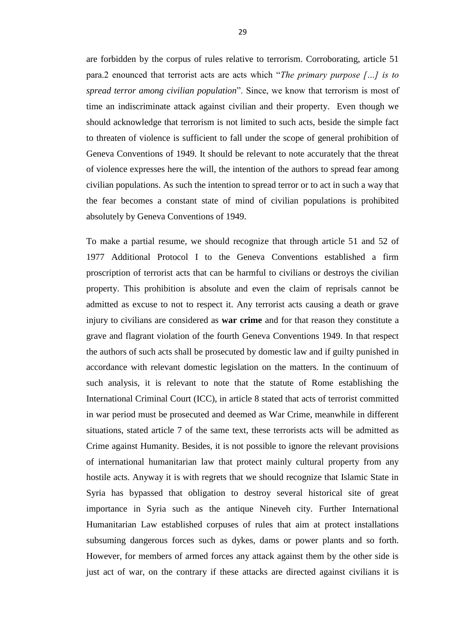are forbidden by the corpus of rules relative to terrorism. Corroborating, article 51 para.2 enounced that terrorist acts are acts which "*The primary purpose* [...] is to *spread terror among civilian population*‖. Since, we know that terrorism is most of time an indiscriminate attack against civilian and their property. Even though we should acknowledge that terrorism is not limited to such acts, beside the simple fact to threaten of violence is sufficient to fall under the scope of general prohibition of Geneva Conventions of 1949. It should be relevant to note accurately that the threat of violence expresses here the will, the intention of the authors to spread fear among civilian populations. As such the intention to spread terror or to act in such a way that the fear becomes a constant state of mind of civilian populations is prohibited absolutely by Geneva Conventions of 1949.

To make a partial resume, we should recognize that through article 51 and 52 of 1977 Additional Protocol I to the Geneva Conventions established a firm proscription of terrorist acts that can be harmful to civilians or destroys the civilian property. This prohibition is absolute and even the claim of reprisals cannot be admitted as excuse to not to respect it. Any terrorist acts causing a death or grave injury to civilians are considered as **war crime** and for that reason they constitute a grave and flagrant violation of the fourth Geneva Conventions 1949. In that respect the authors of such acts shall be prosecuted by domestic law and if guilty punished in accordance with relevant domestic legislation on the matters. In the continuum of such analysis, it is relevant to note that the statute of Rome establishing the International Criminal Court (ICC), in article 8 stated that acts of terrorist committed in war period must be prosecuted and deemed as War Crime, meanwhile in different situations, stated article 7 of the same text, these terrorists acts will be admitted as Crime against Humanity. Besides, it is not possible to ignore the relevant provisions of international humanitarian law that protect mainly cultural property from any hostile acts. Anyway it is with regrets that we should recognize that Islamic State in Syria has bypassed that obligation to destroy several historical site of great importance in Syria such as the antique Nineveh city. Further International Humanitarian Law established corpuses of rules that aim at protect installations subsuming dangerous forces such as dykes, dams or power plants and so forth. However, for members of armed forces any attack against them by the other side is just act of war, on the contrary if these attacks are directed against civilians it is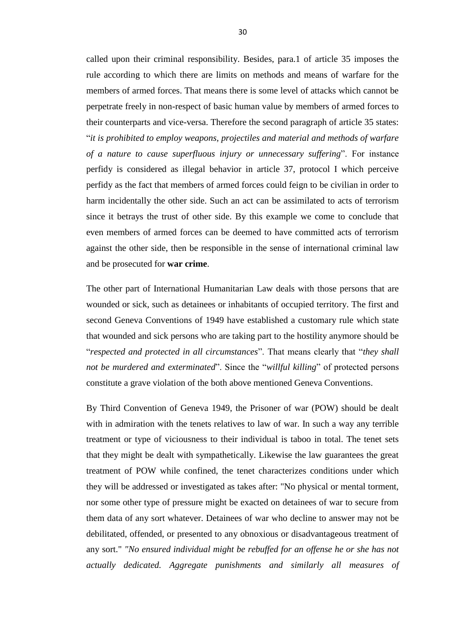called upon their criminal responsibility. Besides, para.1 of article 35 imposes the rule according to which there are limits on methods and means of warfare for the members of armed forces. That means there is some level of attacks which cannot be perpetrate freely in non-respect of basic human value by members of armed forces to their counterparts and vice-versa. Therefore the second paragraph of article 35 states: ―*it is prohibited to employ weapons, projectiles and material and methods of warfare of a nature to cause superfluous injury or unnecessary suffering*". For instance perfidy is considered as illegal behavior in article 37, protocol I which perceive perfidy as the fact that members of armed forces could feign to be civilian in order to harm incidentally the other side. Such an act can be assimilated to acts of terrorism since it betrays the trust of other side. By this example we come to conclude that even members of armed forces can be deemed to have committed acts of terrorism against the other side, then be responsible in the sense of international criminal law and be prosecuted for **war crime**.

The other part of International Humanitarian Law deals with those persons that are wounded or sick, such as detainees or inhabitants of occupied territory. The first and second Geneva Conventions of 1949 have established a customary rule which state that wounded and sick persons who are taking part to the hostility anymore should be ―*respected and protected in all circumstances*‖. That means clearly that ―*they shall not be murdered and exterminated*". Since the "*willful killing*" of protected persons constitute a grave violation of the both above mentioned Geneva Conventions.

By Third Convention of Geneva 1949, the Prisoner of war (POW) should be dealt with in admiration with the tenets relatives to law of war. In such a way any terrible treatment or type of viciousness to their individual is taboo in total. The tenet sets that they might be dealt with sympathetically. Likewise the law guarantees the great treatment of POW while confined, the tenet characterizes conditions under which they will be addressed or investigated as takes after: "No physical or mental torment, nor some other type of pressure might be exacted on detainees of war to secure from them data of any sort whatever. Detainees of war who decline to answer may not be debilitated, offended, or presented to any obnoxious or disadvantageous treatment of any sort." *"No ensured individual might be rebuffed for an offense he or she has not actually dedicated. Aggregate punishments and similarly all measures of*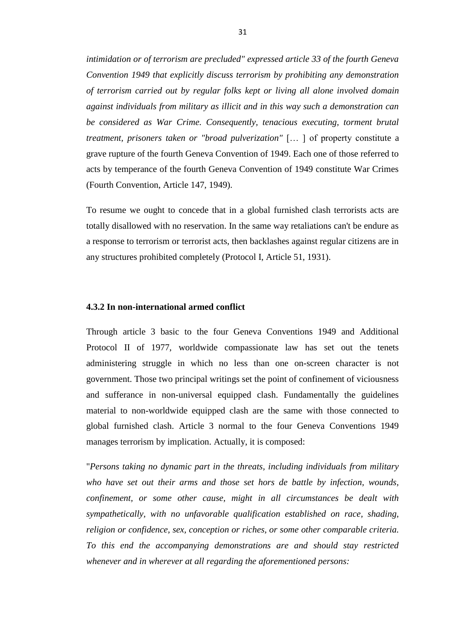*intimidation or of terrorism are precluded" expressed article 33 of the fourth Geneva Convention 1949 that explicitly discuss terrorism by prohibiting any demonstration of terrorism carried out by regular folks kept or living all alone involved domain against individuals from military as illicit and in this way such a demonstration can be considered as War Crime. Consequently, tenacious executing, torment brutal treatment, prisoners taken or "broad pulverization"* [… ] of property constitute a grave rupture of the fourth Geneva Convention of 1949. Each one of those referred to acts by temperance of the fourth Geneva Convention of 1949 constitute War Crimes (Fourth Convention, Article 147, 1949).

To resume we ought to concede that in a global furnished clash terrorists acts are totally disallowed with no reservation. In the same way retaliations can't be endure as a response to terrorism or terrorist acts, then backlashes against regular citizens are in any structures prohibited completely (Protocol I, Article 51, 1931).

#### <span id="page-38-0"></span>**4.3.2 In non-international armed conflict**

Through article 3 basic to the four Geneva Conventions 1949 and Additional Protocol II of 1977, worldwide compassionate law has set out the tenets administering struggle in which no less than one on-screen character is not government. Those two principal writings set the point of confinement of viciousness and sufferance in non-universal equipped clash. Fundamentally the guidelines material to non-worldwide equipped clash are the same with those connected to global furnished clash. Article 3 normal to the four Geneva Conventions 1949 manages terrorism by implication. Actually, it is composed:

"*Persons taking no dynamic part in the threats, including individuals from military who have set out their arms and those set hors de battle by infection, wounds, confinement, or some other cause, might in all circumstances be dealt with sympathetically, with no unfavorable qualification established on race, shading, religion or confidence, sex, conception or riches, or some other comparable criteria. To this end the accompanying demonstrations are and should stay restricted whenever and in wherever at all regarding the aforementioned persons:*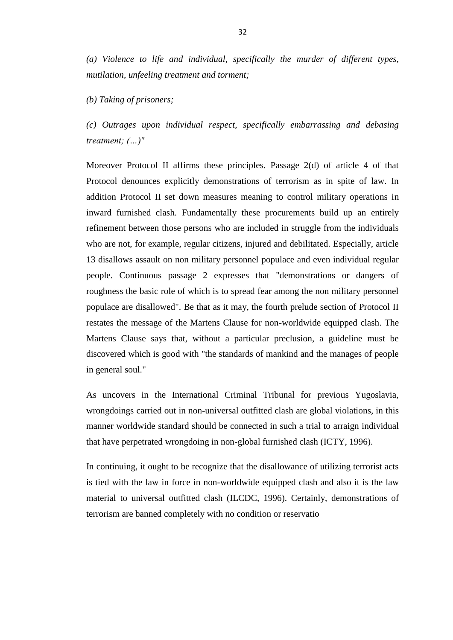*(a) Violence to life and individual, specifically the murder of different types, mutilation, unfeeling treatment and torment;* 

*(b) Taking of prisoners;* 

*(c) Outrages upon individual respect, specifically embarrassing and debasing treatment; (…)"* 

Moreover Protocol II affirms these principles. Passage 2(d) of article 4 of that Protocol denounces explicitly demonstrations of terrorism as in spite of law. In addition Protocol II set down measures meaning to control military operations in inward furnished clash. Fundamentally these procurements build up an entirely refinement between those persons who are included in struggle from the individuals who are not, for example, regular citizens, injured and debilitated. Especially, article 13 disallows assault on non military personnel populace and even individual regular people. Continuous passage 2 expresses that "demonstrations or dangers of roughness the basic role of which is to spread fear among the non military personnel populace are disallowed". Be that as it may, the fourth prelude section of Protocol II restates the message of the Martens Clause for non-worldwide equipped clash. The Martens Clause says that, without a particular preclusion, a guideline must be discovered which is good with "the standards of mankind and the manages of people in general soul."

As uncovers in the International Criminal Tribunal for previous Yugoslavia, wrongdoings carried out in non-universal outfitted clash are global violations, in this manner worldwide standard should be connected in such a trial to arraign individual that have perpetrated wrongdoing in non-global furnished clash (ICTY, 1996).

In continuing, it ought to be recognize that the disallowance of utilizing terrorist acts is tied with the law in force in non-worldwide equipped clash and also it is the law material to universal outfitted clash (ILCDC, 1996). Certainly, demonstrations of terrorism are banned completely with no condition or reservatio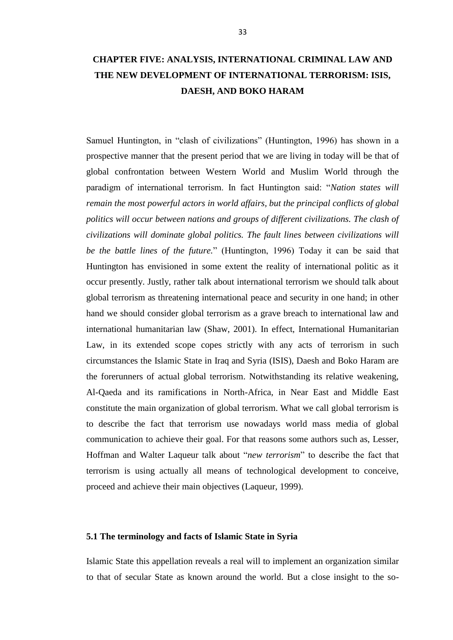<span id="page-40-0"></span>Samuel Huntington, in "clash of civilizations" (Huntington, 1996) has shown in a prospective manner that the present period that we are living in today will be that of global confrontation between Western World and Muslim World through the paradigm of international terrorism. In fact Huntington said: "Nation states will *remain the most powerful actors in world affairs, but the principal conflicts of global politics will occur between nations and groups of different civilizations. The clash of civilizations will dominate global politics. The fault lines between civilizations will be the battle lines of the future.*‖ (Huntington, 1996) Today it can be said that Huntington has envisioned in some extent the reality of international politic as it occur presently. Justly, rather talk about international terrorism we should talk about global terrorism as threatening international peace and security in one hand; in other hand we should consider global terrorism as a grave breach to international law and international humanitarian law (Shaw, 2001). In effect, International Humanitarian Law, in its extended scope copes strictly with any acts of terrorism in such circumstances the Islamic State in Iraq and Syria (ISIS), Daesh and Boko Haram are the forerunners of actual global terrorism. Notwithstanding its relative weakening, Al-Qaeda and its ramifications in North-Africa, in Near East and Middle East constitute the main organization of global terrorism. What we call global terrorism is to describe the fact that terrorism use nowadays world mass media of global communication to achieve their goal. For that reasons some authors such as, Lesser, Hoffman and Walter Laqueur talk about "new terrorism" to describe the fact that terrorism is using actually all means of technological development to conceive, proceed and achieve their main objectives (Laqueur, 1999).

## <span id="page-40-1"></span>**5.1 The terminology and facts of Islamic State in Syria**

Islamic State this appellation reveals a real will to implement an organization similar to that of secular State as known around the world. But a close insight to the so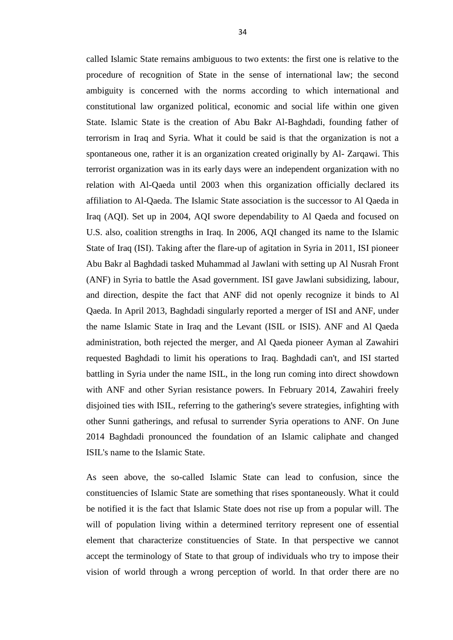called Islamic State remains ambiguous to two extents: the first one is relative to the procedure of recognition of State in the sense of international law; the second ambiguity is concerned with the norms according to which international and constitutional law organized political, economic and social life within one given State. Islamic State is the creation of Abu Bakr Al-Baghdadi, founding father of terrorism in Iraq and Syria. What it could be said is that the organization is not a spontaneous one, rather it is an organization created originally by Al- Zarqawi. This terrorist organization was in its early days were an independent organization with no relation with Al-Qaeda until 2003 when this organization officially declared its affiliation to Al-Qaeda. The Islamic State association is the successor to Al Qaeda in Iraq (AQI). Set up in 2004, AQI swore dependability to Al Qaeda and focused on U.S. also, coalition strengths in Iraq. In 2006, AQI changed its name to the Islamic State of Iraq (ISI). Taking after the flare-up of agitation in Syria in 2011, ISI pioneer Abu Bakr al Baghdadi tasked Muhammad al Jawlani with setting up Al Nusrah Front (ANF) in Syria to battle the Asad government. ISI gave Jawlani subsidizing, labour, and direction, despite the fact that ANF did not openly recognize it binds to Al Qaeda. In April 2013, Baghdadi singularly reported a merger of ISI and ANF, under the name Islamic State in Iraq and the Levant (ISIL or ISIS). ANF and Al Qaeda administration, both rejected the merger, and Al Qaeda pioneer Ayman al Zawahiri requested Baghdadi to limit his operations to Iraq. Baghdadi can't, and ISI started battling in Syria under the name ISIL, in the long run coming into direct showdown with ANF and other Syrian resistance powers. In February 2014, Zawahiri freely disjoined ties with ISIL, referring to the gathering's severe strategies, infighting with other Sunni gatherings, and refusal to surrender Syria operations to ANF. On June 2014 Baghdadi pronounced the foundation of an Islamic caliphate and changed ISIL's name to the Islamic State.

As seen above, the so-called Islamic State can lead to confusion, since the constituencies of Islamic State are something that rises spontaneously. What it could be notified it is the fact that Islamic State does not rise up from a popular will. The will of population living within a determined territory represent one of essential element that characterize constituencies of State. In that perspective we cannot accept the terminology of State to that group of individuals who try to impose their vision of world through a wrong perception of world. In that order there are no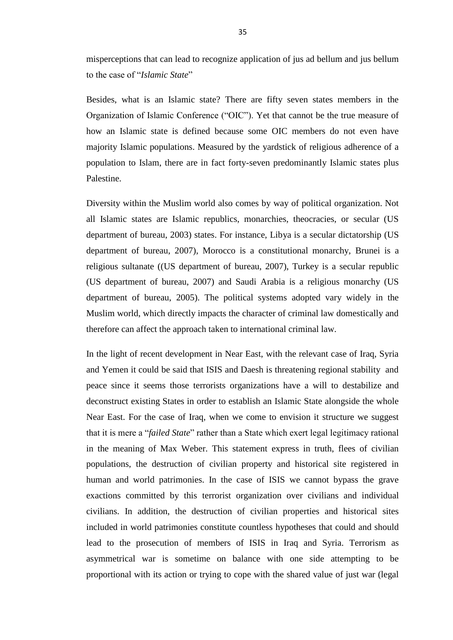misperceptions that can lead to recognize application of jus ad bellum and jus bellum to the case of "*Islamic State*"

Besides, what is an Islamic state? There are fifty seven states members in the Organization of Islamic Conference ("OIC"). Yet that cannot be the true measure of how an Islamic state is defined because some OIC members do not even have majority Islamic populations. Measured by the yardstick of religious adherence of a population to Islam, there are in fact forty-seven predominantly Islamic states plus Palestine.

Diversity within the Muslim world also comes by way of political organization. Not all Islamic states are Islamic republics, monarchies, theocracies, or secular (US department of bureau, 2003) states. For instance, Libya is a secular dictatorship (US department of bureau, 2007), Morocco is a constitutional monarchy, Brunei is a religious sultanate ((US department of bureau, 2007), Turkey is a secular republic (US department of bureau, 2007) and Saudi Arabia is a religious monarchy (US department of bureau, 2005). The political systems adopted vary widely in the Muslim world, which directly impacts the character of criminal law domestically and therefore can affect the approach taken to international criminal law.

In the light of recent development in Near East, with the relevant case of Iraq, Syria and Yemen it could be said that ISIS and Daesh is threatening regional stability and peace since it seems those terrorists organizations have a will to destabilize and deconstruct existing States in order to establish an Islamic State alongside the whole Near East. For the case of Iraq, when we come to envision it structure we suggest that it is mere a "*failed State*" rather than a State which exert legal legitimacy rational in the meaning of Max Weber. This statement express in truth, flees of civilian populations, the destruction of civilian property and historical site registered in human and world patrimonies. In the case of ISIS we cannot bypass the grave exactions committed by this terrorist organization over civilians and individual civilians. In addition, the destruction of civilian properties and historical sites included in world patrimonies constitute countless hypotheses that could and should lead to the prosecution of members of ISIS in Iraq and Syria. Terrorism as asymmetrical war is sometime on balance with one side attempting to be proportional with its action or trying to cope with the shared value of just war (legal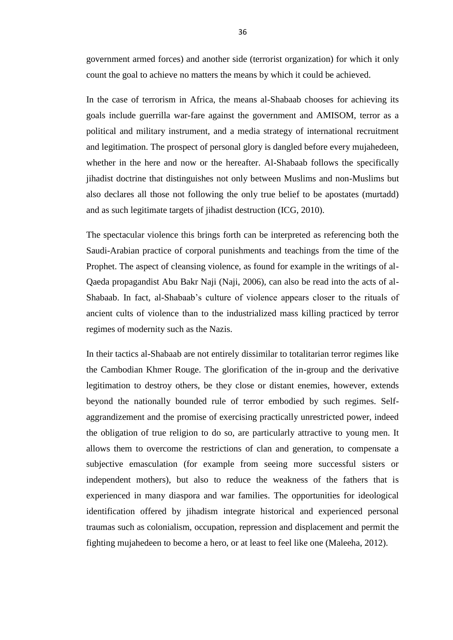government armed forces) and another side (terrorist organization) for which it only count the goal to achieve no matters the means by which it could be achieved.

In the case of terrorism in Africa, the means al-Shabaab chooses for achieving its goals include guerrilla war-fare against the government and AMISOM, terror as a political and military instrument, and a media strategy of international recruitment and legitimation. The prospect of personal glory is dangled before every mujahedeen, whether in the here and now or the hereafter. Al-Shabaab follows the specifically jihadist doctrine that distinguishes not only between Muslims and non-Muslims but also declares all those not following the only true belief to be apostates (murtadd) and as such legitimate targets of jihadist destruction (ICG, 2010).

The spectacular violence this brings forth can be interpreted as referencing both the Saudi-Arabian practice of corporal punishments and teachings from the time of the Prophet. The aspect of cleansing violence, as found for example in the writings of al-Qaeda propagandist Abu Bakr Naji (Naji, 2006), can also be read into the acts of al-Shabaab. In fact, al-Shabaab's culture of violence appears closer to the rituals of ancient cults of violence than to the industrialized mass killing practiced by terror regimes of modernity such as the Nazis.

In their tactics al-Shabaab are not entirely dissimilar to totalitarian terror regimes like the Cambodian Khmer Rouge. The glorification of the in-group and the derivative legitimation to destroy others, be they close or distant enemies, however, extends beyond the nationally bounded rule of terror embodied by such regimes. Selfaggrandizement and the promise of exercising practically unrestricted power, indeed the obligation of true religion to do so, are particularly attractive to young men. It allows them to overcome the restrictions of clan and generation, to compensate a subjective emasculation (for example from seeing more successful sisters or independent mothers), but also to reduce the weakness of the fathers that is experienced in many diaspora and war families. The opportunities for ideological identification offered by jihadism integrate historical and experienced personal traumas such as colonialism, occupation, repression and displacement and permit the fighting mujahedeen to become a hero, or at least to feel like one (Maleeha, 2012).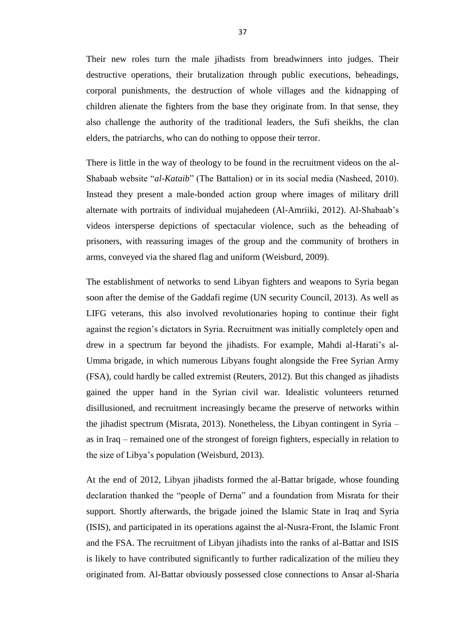Their new roles turn the male jihadists from breadwinners into judges. Their destructive operations, their brutalization through public executions, beheadings, corporal punishments, the destruction of whole villages and the kidnapping of children alienate the fighters from the base they originate from. In that sense, they also challenge the authority of the traditional leaders, the Sufi sheikhs, the clan elders, the patriarchs, who can do nothing to oppose their terror.

There is little in the way of theology to be found in the recruitment videos on the al-Shabaab website "*al-Kataib*" (The Battalion) or in its social media (Nasheed, 2010). Instead they present a male-bonded action group where images of military drill alternate with portraits of individual mujahedeen (Al-Amriiki, 2012). Al-Shabaab's videos intersperse depictions of spectacular violence, such as the beheading of prisoners, with reassuring images of the group and the community of brothers in arms, conveyed via the shared flag and uniform (Weisburd, 2009).

The establishment of networks to send Libyan fighters and weapons to Syria began soon after the demise of the Gaddafi regime (UN security Council, 2013). As well as LIFG veterans, this also involved revolutionaries hoping to continue their fight against the region's dictators in Syria. Recruitment was initially completely open and drew in a spectrum far beyond the jihadists. For example, Mahdi al-Harati's al-Umma brigade, in which numerous Libyans fought alongside the Free Syrian Army (FSA), could hardly be called extremist (Reuters, 2012). But this changed as jihadists gained the upper hand in the Syrian civil war. Idealistic volunteers returned disillusioned, and recruitment increasingly became the preserve of networks within the jihadist spectrum (Misrata, 2013). Nonetheless, the Libyan contingent in Syria – as in Iraq – remained one of the strongest of foreign fighters, especially in relation to the size of Libya's population (Weisburd, 2013).

At the end of 2012, Libyan jihadists formed the al-Battar brigade, whose founding declaration thanked the "people of Derna" and a foundation from Misrata for their support. Shortly afterwards, the brigade joined the Islamic State in Iraq and Syria (ISIS), and participated in its operations against the al-Nusra-Front, the Islamic Front and the FSA. The recruitment of Libyan jihadists into the ranks of al-Battar and ISIS is likely to have contributed significantly to further radicalization of the milieu they originated from. Al-Battar obviously possessed close connections to Ansar al-Sharia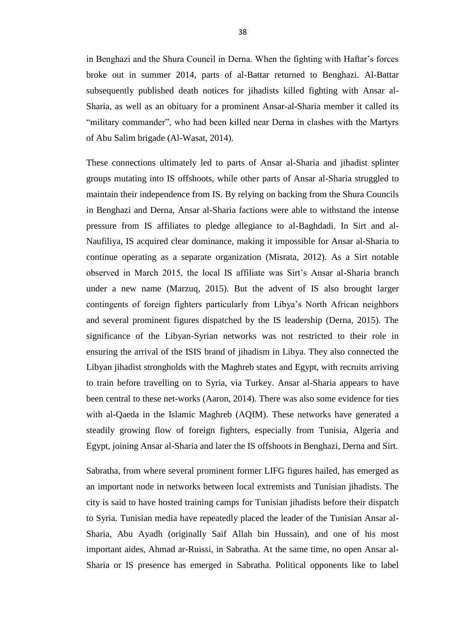in Benghazi and the Shura Council in Derna. When the fighting with Haftar's forces broke out in summer 2014, parts of al-Battar returned to Benghazi. Al-Battar subsequently published death notices for jihadists killed fighting with Ansar al-Sharia, as well as an obituary for a prominent Ansar-al-Sharia member it called its "military commander", who had been killed near Derna in clashes with the Martyrs of Abu Salim brigade (Al-Wasat, 2014).

These connections ultimately led to parts of Ansar al-Sharia and jihadist splinter groups mutating into IS offshoots, while other parts of Ansar al-Sharia struggled to maintain their independence from IS. By relying on backing from the Shura Councils in Benghazi and Derna, Ansar al-Sharia factions were able to withstand the intense pressure from IS affiliates to pledge allegiance to al-Baghdadi. In Sirt and al-Naufiliya, IS acquired clear dominance, making it impossible for Ansar al-Sharia to continue operating as a separate organization (Misrata, 2012). As a Sirt notable observed in March 2015, the local IS affiliate was Sirt's Ansar al-Sharia branch under a new name (Marzuq, 2015). But the advent of IS also brought larger contingents of foreign fighters particularly from Libya's North African neighbors and several prominent figures dispatched by the IS leadership (Derna, 2015). The significance of the Libyan-Syrian networks was not restricted to their role in ensuring the arrival of the ISIS brand of jihadism in Libya. They also connected the Libyan jihadist strongholds with the Maghreb states and Egypt, with recruits arriving to train before travelling on to Syria, via Turkey. Ansar al-Sharia appears to have been central to these net-works (Aaron, 2014). There was also some evidence for ties with al-Qaeda in the Islamic Maghreb (AQIM). These networks have generated a steadily growing flow of foreign fighters, especially from Tunisia, Algeria and Egypt, joining Ansar al-Sharia and later the IS offshoots in Benghazi, Derna and Sirt.

Sabratha, from where several prominent former LIFG figures hailed, has emerged as an important node in networks between local extremists and Tunisian jihadists. The city is said to have hosted training camps for Tunisian jihadists before their dispatch to Syria. Tunisian media have repeatedly placed the leader of the Tunisian Ansar al-Sharia, Abu Ayadh (originally Saif Allah bin Hussain), and one of his most important aides, Ahmad ar-Ruissi, in Sabratha. At the same time, no open Ansar al-Sharia or IS presence has emerged in Sabratha. Political opponents like to label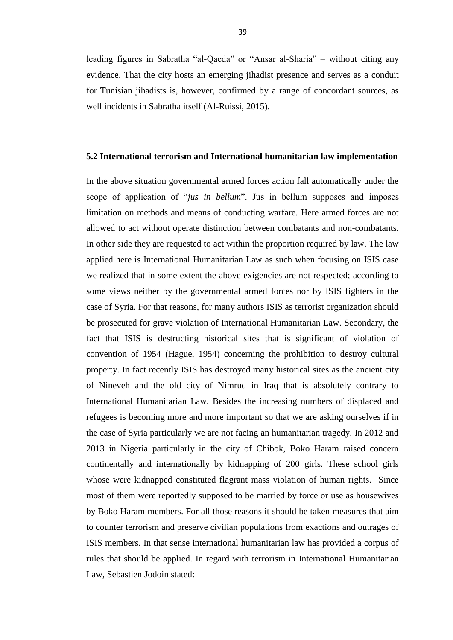leading figures in Sabratha "al-Qaeda" or "Ansar al-Sharia" – without citing any evidence. That the city hosts an emerging jihadist presence and serves as a conduit for Tunisian jihadists is, however, confirmed by a range of concordant sources, as well incidents in Sabratha itself (Al-Ruissi, 2015).

#### <span id="page-46-0"></span>**5.2 International terrorism and International humanitarian law implementation**

In the above situation governmental armed forces action fall automatically under the scope of application of "*jus in bellum*". Jus in bellum supposes and imposes limitation on methods and means of conducting warfare. Here armed forces are not allowed to act without operate distinction between combatants and non-combatants. In other side they are requested to act within the proportion required by law. The law applied here is International Humanitarian Law as such when focusing on ISIS case we realized that in some extent the above exigencies are not respected; according to some views neither by the governmental armed forces nor by ISIS fighters in the case of Syria. For that reasons, for many authors ISIS as terrorist organization should be prosecuted for grave violation of International Humanitarian Law. Secondary, the fact that ISIS is destructing historical sites that is significant of violation of convention of 1954 (Hague, 1954) concerning the prohibition to destroy cultural property. In fact recently ISIS has destroyed many historical sites as the ancient city of Nineveh and the old city of Nimrud in Iraq that is absolutely contrary to International Humanitarian Law. Besides the increasing numbers of displaced and refugees is becoming more and more important so that we are asking ourselves if in the case of Syria particularly we are not facing an humanitarian tragedy. In 2012 and 2013 in Nigeria particularly in the city of Chibok, Boko Haram raised concern continentally and internationally by kidnapping of 200 girls. These school girls whose were kidnapped constituted flagrant mass violation of human rights. Since most of them were reportedly supposed to be married by force or use as housewives by Boko Haram members. For all those reasons it should be taken measures that aim to counter terrorism and preserve civilian populations from exactions and outrages of ISIS members. In that sense international humanitarian law has provided a corpus of rules that should be applied. In regard with terrorism in International Humanitarian Law, Sebastien Jodoin stated: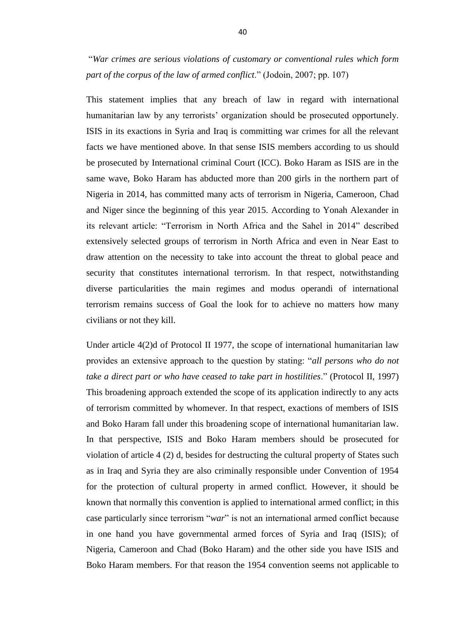―*War crimes are serious violations of customary or conventional rules which form part of the corpus of the law of armed conflict*.‖ (Jodoin, 2007; pp. 107)

This statement implies that any breach of law in regard with international humanitarian law by any terrorists' organization should be prosecuted opportunely. ISIS in its exactions in Syria and Iraq is committing war crimes for all the relevant facts we have mentioned above. In that sense ISIS members according to us should be prosecuted by International criminal Court (ICC). Boko Haram as ISIS are in the same wave, Boko Haram has abducted more than 200 girls in the northern part of Nigeria in 2014, has committed many acts of terrorism in Nigeria, Cameroon, Chad and Niger since the beginning of this year 2015. According to Yonah Alexander in its relevant article: "Terrorism in North Africa and the Sahel in 2014" described extensively selected groups of terrorism in North Africa and even in Near East to draw attention on the necessity to take into account the threat to global peace and security that constitutes international terrorism. In that respect, notwithstanding diverse particularities the main regimes and modus operandi of international terrorism remains success of Goal the look for to achieve no matters how many civilians or not they kill.

Under article 4(2)d of Protocol II 1977, the scope of international humanitarian law provides an extensive approach to the question by stating: "*all persons who do not take a direct part or who have ceased to take part in hostilities*.‖ (Protocol II, 1997) This broadening approach extended the scope of its application indirectly to any acts of terrorism committed by whomever. In that respect, exactions of members of ISIS and Boko Haram fall under this broadening scope of international humanitarian law. In that perspective, ISIS and Boko Haram members should be prosecuted for violation of article 4 (2) d, besides for destructing the cultural property of States such as in Iraq and Syria they are also criminally responsible under Convention of 1954 for the protection of cultural property in armed conflict. However, it should be known that normally this convention is applied to international armed conflict; in this case particularly since terrorism "*war*" is not an international armed conflict because in one hand you have governmental armed forces of Syria and Iraq (ISIS); of Nigeria, Cameroon and Chad (Boko Haram) and the other side you have ISIS and Boko Haram members. For that reason the 1954 convention seems not applicable to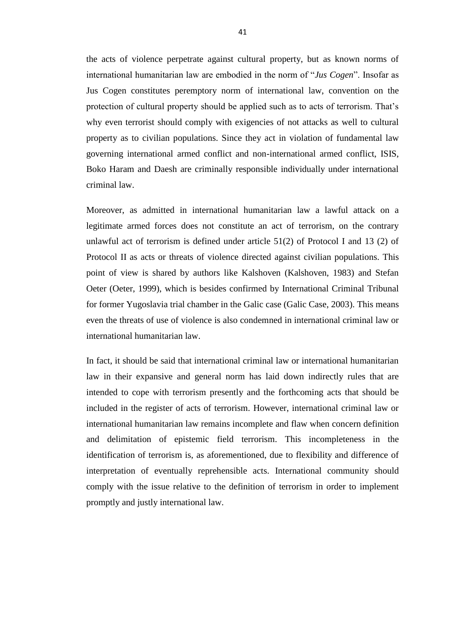the acts of violence perpetrate against cultural property, but as known norms of international humanitarian law are embodied in the norm of "*Jus Cogen*". Insofar as Jus Cogen constitutes peremptory norm of international law, convention on the protection of cultural property should be applied such as to acts of terrorism. That's why even terrorist should comply with exigencies of not attacks as well to cultural property as to civilian populations. Since they act in violation of fundamental law governing international armed conflict and non-international armed conflict, ISIS, Boko Haram and Daesh are criminally responsible individually under international criminal law.

Moreover, as admitted in international humanitarian law a lawful attack on a legitimate armed forces does not constitute an act of terrorism, on the contrary unlawful act of terrorism is defined under article 51(2) of Protocol I and 13 (2) of Protocol II as acts or threats of violence directed against civilian populations. This point of view is shared by authors like Kalshoven (Kalshoven, 1983) and Stefan Oeter (Oeter, 1999), which is besides confirmed by International Criminal Tribunal for former Yugoslavia trial chamber in the Galic case (Galic Case, 2003). This means even the threats of use of violence is also condemned in international criminal law or international humanitarian law.

In fact, it should be said that international criminal law or international humanitarian law in their expansive and general norm has laid down indirectly rules that are intended to cope with terrorism presently and the forthcoming acts that should be included in the register of acts of terrorism. However, international criminal law or international humanitarian law remains incomplete and flaw when concern definition and delimitation of epistemic field terrorism. This incompleteness in the identification of terrorism is, as aforementioned, due to flexibility and difference of interpretation of eventually reprehensible acts. International community should comply with the issue relative to the definition of terrorism in order to implement promptly and justly international law.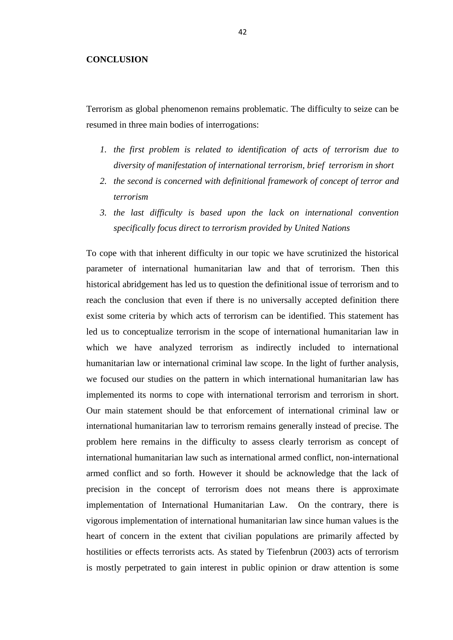#### <span id="page-49-0"></span>**CONCLUSION**

Terrorism as global phenomenon remains problematic. The difficulty to seize can be resumed in three main bodies of interrogations:

- *1. the first problem is related to identification of acts of terrorism due to diversity of manifestation of international terrorism, brief terrorism in short*
- *2. the second is concerned with definitional framework of concept of terror and terrorism*
- *3. the last difficulty is based upon the lack on international convention specifically focus direct to terrorism provided by United Nations*

To cope with that inherent difficulty in our topic we have scrutinized the historical parameter of international humanitarian law and that of terrorism. Then this historical abridgement has led us to question the definitional issue of terrorism and to reach the conclusion that even if there is no universally accepted definition there exist some criteria by which acts of terrorism can be identified. This statement has led us to conceptualize terrorism in the scope of international humanitarian law in which we have analyzed terrorism as indirectly included to international humanitarian law or international criminal law scope. In the light of further analysis, we focused our studies on the pattern in which international humanitarian law has implemented its norms to cope with international terrorism and terrorism in short. Our main statement should be that enforcement of international criminal law or international humanitarian law to terrorism remains generally instead of precise. The problem here remains in the difficulty to assess clearly terrorism as concept of international humanitarian law such as international armed conflict, non-international armed conflict and so forth. However it should be acknowledge that the lack of precision in the concept of terrorism does not means there is approximate implementation of International Humanitarian Law. On the contrary, there is vigorous implementation of international humanitarian law since human values is the heart of concern in the extent that civilian populations are primarily affected by hostilities or effects terrorists acts. As stated by Tiefenbrun (2003) acts of terrorism is mostly perpetrated to gain interest in public opinion or draw attention is some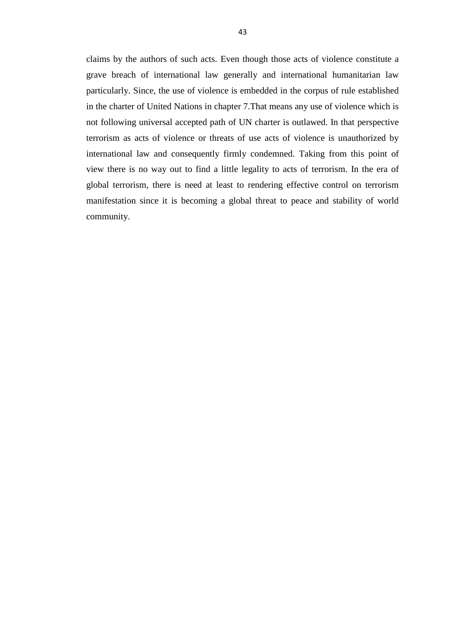claims by the authors of such acts. Even though those acts of violence constitute a grave breach of international law generally and international humanitarian law particularly. Since, the use of violence is embedded in the corpus of rule established in the charter of United Nations in chapter 7.That means any use of violence which is not following universal accepted path of UN charter is outlawed. In that perspective terrorism as acts of violence or threats of use acts of violence is unauthorized by international law and consequently firmly condemned. Taking from this point of view there is no way out to find a little legality to acts of terrorism. In the era of global terrorism, there is need at least to rendering effective control on terrorism manifestation since it is becoming a global threat to peace and stability of world community.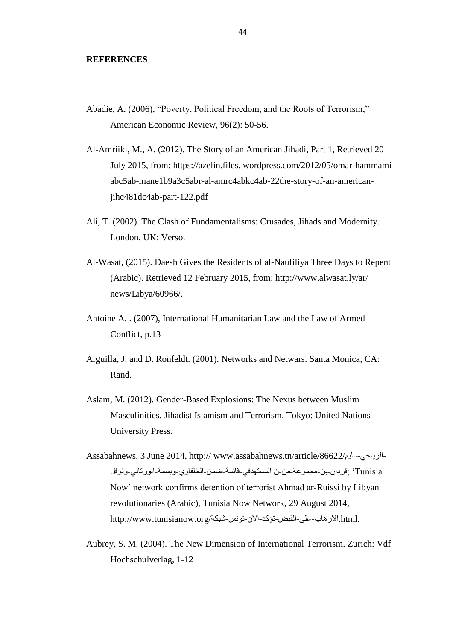#### <span id="page-51-0"></span>**REFERENCES**

- Abadie, A. (2006), "Poverty, Political Freedom, and the Roots of Terrorism," American Economic Review, 96(2): 50-56.
- Al-Amriiki, M., A. (2012). The Story of an American Jihadi, Part 1, Retrieved 20 July 2015, from; https://azelin.files. wordpress.com/2012/05/omar-hammamiabc5ab-mane1b9a3c5abr-al-amrc4abkc4ab-22the-story-of-an-americanjihc481dc4ab-part-122.pdf
- Ali, T. (2002). The Clash of Fundamentalisms: Crusades, Jihads and Modernity. London, UK: Verso.
- Al-Wasat, (2015). Daesh Gives the Residents of al-Naufiliya Three Days to Repent (Arabic). Retrieved 12 February 2015, from; http://www.alwasat.ly/ar/ news/Libya/60966/.
- Antoine A. . (2007), International Humanitarian Law and the Law of Armed Conflict, p.13
- Arguilla, J. and D. Ronfeldt. (2001). Networks and Netwars. Santa Monica, CA: Rand.
- Aslam, M. (2012). Gender-Based Explosions: The Nexus between Muslim Masculinities, Jihadist Islamism and Terrorism. Tokyo: United Nations University Press.
- Tunisia; ·قردان-بن-مجموعة-من-ن المستهدفي-قائمة-ضمن-الخلفاوي-وبسمة-الورتاني-ونوفل -الرياحى-سليم/Assabahnews, 3 June 2014, http:// www.assabahnews.tn/article/86622 Now' network confirms detention of terrorist Ahmad ar-Ruissi by Libyan revolutionaries (Arabic), Tunisia Now Network, 29 August 2014, .html.االرهاب-على-القبض-تؤكذ-اَن-تىوس-شبكة/org.tunisianow.www://http
- Aubrey, S. M. (2004). The New Dimension of International Terrorism. Zurich: Vdf Hochschulverlag, 1-12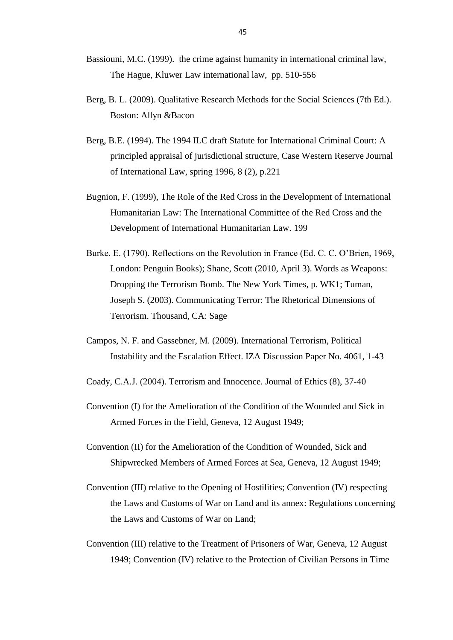- Bassiouni, M.C. (1999). the crime against humanity in international criminal law, The Hague, Kluwer Law international law, pp. 510-556
- Berg, B. L. (2009). Qualitative Research Methods for the Social Sciences (7th Ed.). Boston: Allyn &Bacon
- Berg, B.E. (1994). The 1994 ILC draft Statute for International Criminal Court: A principled appraisal of jurisdictional structure, Case Western Reserve Journal of International Law, spring 1996, 8 (2), p.221
- Bugnion, F. (1999), The Role of the Red Cross in the Development of International Humanitarian Law: The International Committee of the Red Cross and the Development of International Humanitarian Law. 199
- Burke, E. (1790). Reflections on the Revolution in France (Ed. C. C. O'Brien, 1969, London: Penguin Books); Shane, Scott (2010, April 3). Words as Weapons: Dropping the Terrorism Bomb. The New York Times, p. WK1; Tuman, Joseph S. (2003). Communicating Terror: The Rhetorical Dimensions of Terrorism. Thousand, CA: Sage
- Campos, N. F. and Gassebner, M. (2009). International Terrorism, Political Instability and the Escalation Effect. IZA Discussion Paper No. 4061, 1-43
- Coady, C.A.J. (2004). Terrorism and Innocence. Journal of Ethics (8), 37-40
- Convention (I) for the Amelioration of the Condition of the Wounded and Sick in Armed Forces in the Field, Geneva, 12 August 1949;
- Convention (II) for the Amelioration of the Condition of Wounded, Sick and Shipwrecked Members of Armed Forces at Sea, Geneva, 12 August 1949;
- Convention (III) relative to the Opening of Hostilities; Convention (IV) respecting the Laws and Customs of War on Land and its annex: Regulations concerning the Laws and Customs of War on Land;
- Convention (III) relative to the Treatment of Prisoners of War, Geneva, 12 August 1949; Convention (IV) relative to the Protection of Civilian Persons in Time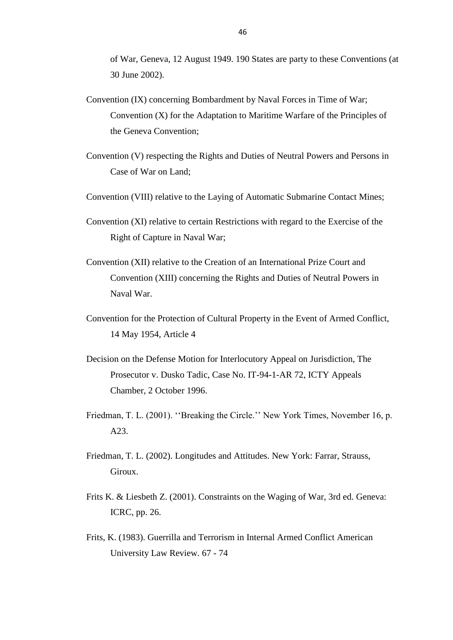of War, Geneva, 12 August 1949. 190 States are party to these Conventions (at 30 June 2002).

- Convention (IX) concerning Bombardment by Naval Forces in Time of War; Convention (X) for the Adaptation to Maritime Warfare of the Principles of the Geneva Convention;
- Convention (V) respecting the Rights and Duties of Neutral Powers and Persons in Case of War on Land;
- Convention (VIII) relative to the Laying of Automatic Submarine Contact Mines;
- Convention (XI) relative to certain Restrictions with regard to the Exercise of the Right of Capture in Naval War;
- Convention (XII) relative to the Creation of an International Prize Court and Convention (XIII) concerning the Rights and Duties of Neutral Powers in Naval War.
- Convention for the Protection of Cultural Property in the Event of Armed Conflict, 14 May 1954, Article 4
- Decision on the Defense Motion for Interlocutory Appeal on Jurisdiction, The Prosecutor v. Dusko Tadic, Case No. IT-94-1-AR 72, ICTY Appeals Chamber, 2 October 1996.
- Friedman, T. L. (2001). "Breaking the Circle." New York Times, November 16, p. A23.
- Friedman, T. L. (2002). Longitudes and Attitudes. New York: Farrar, Strauss, Giroux.
- Frits K. & Liesbeth Z. (2001). Constraints on the Waging of War, 3rd ed. Geneva: ICRC, pp. 26.
- Frits, K. (1983). Guerrilla and Terrorism in Internal Armed Conflict American University Law Review. 67 - 74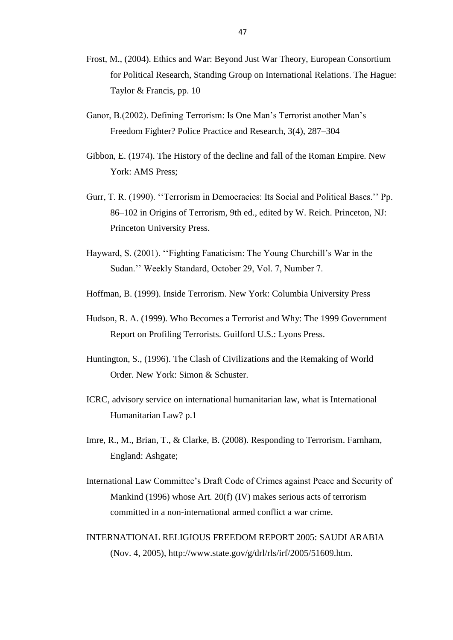- Frost, M., (2004). Ethics and War: Beyond Just War Theory, European Consortium for Political Research, Standing Group on International Relations. The Hague: Taylor & Francis, pp. 10
- Ganor, B.(2002). Defining Terrorism: Is One Man's Terrorist another Man's Freedom Fighter? Police Practice and Research, 3(4), 287–304
- Gibbon, E. (1974). The History of the decline and fall of the Roman Empire. New York: AMS Press;
- Gurr, T. R. (1990). "Terrorism in Democracies: Its Social and Political Bases." Pp. 86–102 in Origins of Terrorism, 9th ed., edited by W. Reich. Princeton, NJ: Princeton University Press.
- Hayward, S. (2001). "Fighting Fanaticism: The Young Churchill's War in the Sudan.'' Weekly Standard, October 29, Vol. 7, Number 7.
- Hoffman, B. (1999). Inside Terrorism. New York: Columbia University Press
- Hudson, R. A. (1999). Who Becomes a Terrorist and Why: The 1999 Government Report on Profiling Terrorists. Guilford U.S.: Lyons Press.
- Huntington, S., (1996). The Clash of Civilizations and the Remaking of World Order. New York: Simon & Schuster.
- ICRC, advisory service on international humanitarian law, what is International Humanitarian Law? p.1
- Imre, R., M., Brian, T., & Clarke, B. (2008). Responding to Terrorism. Farnham, England: Ashgate;
- International Law Committee's Draft Code of Crimes against Peace and Security of Mankind (1996) whose Art. 20(f) (IV) makes serious acts of terrorism committed in a non-international armed conflict a war crime.
- INTERNATIONAL RELIGIOUS FREEDOM REPORT 2005: SAUDI ARABIA (Nov. 4, 2005), http://www.state.gov/g/drl/rls/irf/2005/51609.htm.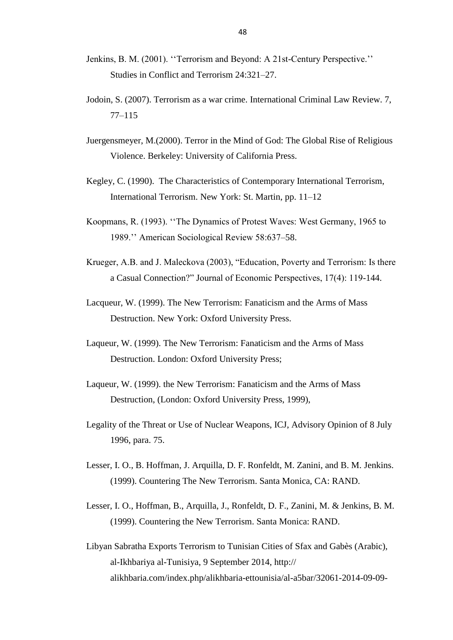- Jenkins, B. M. (2001). "Terrorism and Beyond: A 21st-Century Perspective." Studies in Conflict and Terrorism 24:321–27.
- Jodoin, S. (2007). Terrorism as a war crime. International Criminal Law Review. 7, 77–115
- Juergensmeyer, M.(2000). Terror in the Mind of God: The Global Rise of Religious Violence. Berkeley: University of California Press.
- Kegley, C. (1990). The Characteristics of Contemporary International Terrorism, International Terrorism. New York: St. Martin, pp. 11–12
- Koopmans, R. (1993). "The Dynamics of Protest Waves: West Germany, 1965 to 1989.'' American Sociological Review 58:637–58.
- Krueger, A.B. and J. Maleckova (2003), "Education, Poverty and Terrorism: Is there a Casual Connection?" Journal of Economic Perspectives, 17(4): 119-144.
- Lacqueur, W. (1999). The New Terrorism: Fanaticism and the Arms of Mass Destruction. New York: Oxford University Press.
- Laqueur, W. (1999). The New Terrorism: Fanaticism and the Arms of Mass Destruction. London: Oxford University Press;
- Laqueur, W. (1999). the New Terrorism: Fanaticism and the Arms of Mass Destruction, (London: Oxford University Press, 1999),
- Legality of the Threat or Use of Nuclear Weapons, ICJ, Advisory Opinion of 8 July 1996, para. 75.
- Lesser, I. O., B. Hoffman, J. Arquilla, D. F. Ronfeldt, M. Zanini, and B. M. Jenkins. (1999). Countering The New Terrorism. Santa Monica, CA: RAND.
- Lesser, I. O., Hoffman, B., Arquilla, J., Ronfeldt, D. F., Zanini, M. & Jenkins, B. M. (1999). Countering the New Terrorism. Santa Monica: RAND.
- Libyan Sabratha Exports Terrorism to Tunisian Cities of Sfax and Gabès (Arabic), al-Ikhbariya al-Tunisiya, 9 September 2014, http:// alikhbaria.com/index.php/alikhbaria-ettounisia/al-a5bar/32061-2014-09-09-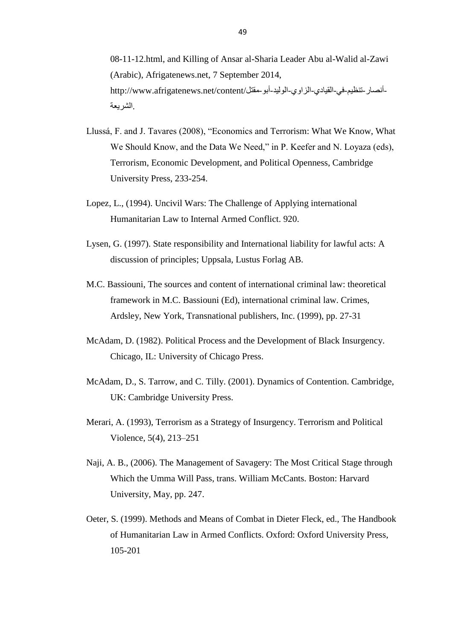08-11-12.html, and Killing of Ansar al-Sharia Leader Abu al-Walid al-Zawi (Arabic), Afrigatenews.net, 7 September 2014, -أنصـار -تنظيم-في-القيادي-الزاوي-الوليد-أبو -مقتل/http://www.afrigatenews.net/content<br>الشريعة.

- Llussá, F. and J. Tavares (2008), "Economics and Terrorism: What We Know, What We Should Know, and the Data We Need," in P. Keefer and N. Loyaza (eds), Terrorism, Economic Development, and Political Openness, Cambridge University Press, 233-254.
- Lopez, L., (1994). Uncivil Wars: The Challenge of Applying international Humanitarian Law to Internal Armed Conflict. 920.
- Lysen, G. (1997). State responsibility and International liability for lawful acts: A discussion of principles; Uppsala, Lustus Forlag AB.
- M.C. Bassiouni, The sources and content of international criminal law: theoretical framework in M.C. Bassiouni (Ed), international criminal law. Crimes, Ardsley, New York, Transnational publishers, Inc. (1999), pp. 27-31
- McAdam, D. (1982). Political Process and the Development of Black Insurgency. Chicago, IL: University of Chicago Press.
- McAdam, D., S. Tarrow, and C. Tilly. (2001). Dynamics of Contention. Cambridge, UK: Cambridge University Press.
- Merari, A. (1993), Terrorism as a Strategy of Insurgency. Terrorism and Political Violence, 5(4), 213–251
- Naji, A. B., (2006). The Management of Savagery: The Most Critical Stage through Which the Umma Will Pass, trans. William McCants. Boston: Harvard University, May, pp. 247.
- Oeter, S. (1999). Methods and Means of Combat in Dieter Fleck, ed., The Handbook of Humanitarian Law in Armed Conflicts. Oxford: Oxford University Press, 105-201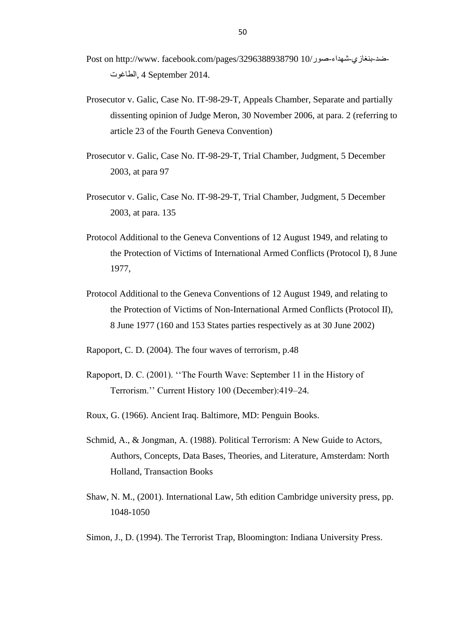- Post on http://www. facebook.com/pages/3296388938790 10/صىر-شهذاء-بىغازي-ضذ-الطاغىت, 4 September 2014.
- Prosecutor v. Galic, Case No. IT-98-29-T, Appeals Chamber, Separate and partially dissenting opinion of Judge Meron, 30 November 2006, at para. 2 (referring to article 23 of the Fourth Geneva Convention)
- Prosecutor v. Galic, Case No. IT-98-29-T, Trial Chamber, Judgment, 5 December 2003, at para 97
- Prosecutor v. Galic, Case No. IT-98-29-T, Trial Chamber, Judgment, 5 December 2003, at para. 135
- Protocol Additional to the Geneva Conventions of 12 August 1949, and relating to the Protection of Victims of International Armed Conflicts (Protocol I), 8 June 1977,
- Protocol Additional to the Geneva Conventions of 12 August 1949, and relating to the Protection of Victims of Non-International Armed Conflicts (Protocol II), 8 June 1977 (160 and 153 States parties respectively as at 30 June 2002)
- Rapoport, C. D. (2004). The four waves of terrorism, p.48
- Rapoport, D. C. (2001). "The Fourth Wave: September 11 in the History of Terrorism.'' Current History 100 (December):419–24.
- Roux, G. (1966). Ancient Iraq. Baltimore, MD: Penguin Books.
- Schmid, A., & Jongman, A. (1988). Political Terrorism: A New Guide to Actors, Authors, Concepts, Data Bases, Theories, and Literature, Amsterdam: North Holland, Transaction Books
- Shaw, N. M., (2001). International Law, 5th edition Cambridge university press, pp. 1048-1050
- Simon, J., D. (1994). The Terrorist Trap, Bloomington: Indiana University Press.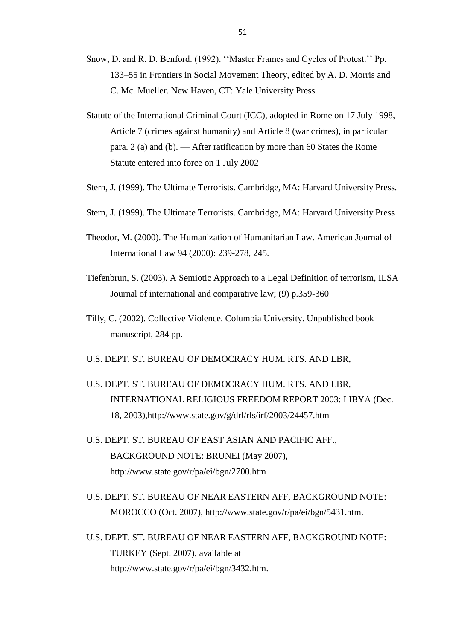- Snow, D. and R. D. Benford. (1992). "Master Frames and Cycles of Protest." Pp. 133–55 in Frontiers in Social Movement Theory, edited by A. D. Morris and C. Mc. Mueller. New Haven, CT: Yale University Press.
- Statute of the International Criminal Court (ICC), adopted in Rome on 17 July 1998, Article 7 (crimes against humanity) and Article 8 (war crimes), in particular para. 2 (a) and (b). — After ratification by more than 60 States the Rome Statute entered into force on 1 July 2002
- Stern, J. (1999). The Ultimate Terrorists. Cambridge, MA: Harvard University Press.
- Stern, J. (1999). The Ultimate Terrorists. Cambridge, MA: Harvard University Press
- Theodor, M. (2000). The Humanization of Humanitarian Law. American Journal of International Law 94 (2000): 239-278, 245.
- Tiefenbrun, S. (2003). A Semiotic Approach to a Legal Definition of terrorism, ILSA Journal of international and comparative law; (9) p.359-360
- Tilly, C. (2002). Collective Violence. Columbia University. Unpublished book manuscript, 284 pp.
- U.S. DEPT. ST. BUREAU OF DEMOCRACY HUM. RTS. AND LBR,
- U.S. DEPT. ST. BUREAU OF DEMOCRACY HUM. RTS. AND LBR, INTERNATIONAL RELIGIOUS FREEDOM REPORT 2003: LIBYA (Dec. 18, 2003),http://www.state.gov/g/drl/rls/irf/2003/24457.htm
- U.S. DEPT. ST. BUREAU OF EAST ASIAN AND PACIFIC AFF., BACKGROUND NOTE: BRUNEI (May 2007), http://www.state.gov/r/pa/ei/bgn/2700.htm
- U.S. DEPT. ST. BUREAU OF NEAR EASTERN AFF, BACKGROUND NOTE: MOROCCO (Oct. 2007), http://www.state.gov/r/pa/ei/bgn/5431.htm.
- U.S. DEPT. ST. BUREAU OF NEAR EASTERN AFF, BACKGROUND NOTE: TURKEY (Sept. 2007), available at http://www.state.gov/r/pa/ei/bgn/3432.htm.